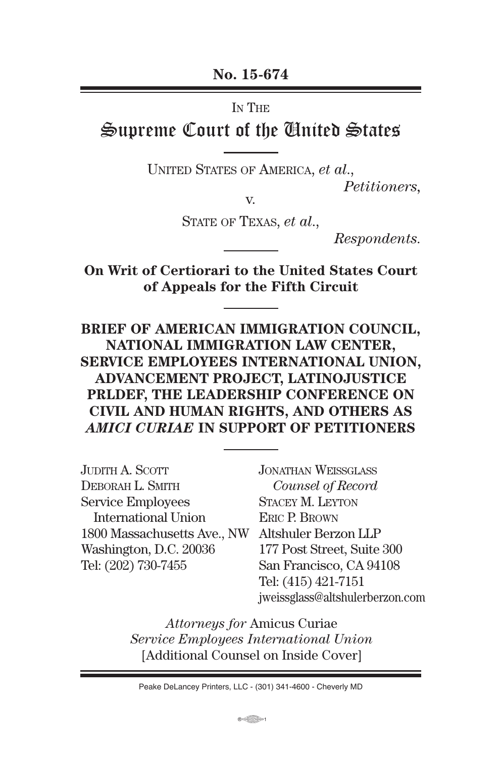**No. 15-674**

In The

# Supreme Court of the United States

UNITED STATES OF AMERICA, *et al.*,

*Petitioners,*

v.

STaTe of TexaS, *et al*.,

*Respondents.*

**On Writ of Certiorari to the United States Court of Appeals for the Fifth Circuit**

**BRIEF OF AMERICAN IMMIGRATION COUNCIL, NATIONAL IMMIGRATION LAW CENTER, SERVICE EMPLOYEES INTERNATIONAL UNION, ADVANCEMENT PROJECT, LATINOJUSTICE PRLDEF, THE LEADERSHIP CONFERENCE ON CIVIL AND HUMAN RIGHTS, AND OTHERS AS**  *AMICI CURIAE* **IN SUPPORT OF PETITIONERS**

| JUDITH A. SCOTT             |
|-----------------------------|
| DEBORAH L. SMITH            |
| <b>Service Employees</b>    |
| <b>International Union</b>  |
| 1800 Massachusetts Ave., NW |
| Washington, D.C. 20036      |
| Tel: (202) 730-7455         |
|                             |

JonaThan WeISSgLaSS  *Counsel of Record* STACEY M. LEYTON ERIC P. BROWN Altshuler Berzon LLP 177 Post Street, Suite 300 San Francisco, CA 94108 Tel: (415) 421-7151 jweissglass@altshulerberzon.com

*Attorneys for* Amicus Curiae *Service Employees International Union* [Additional Counsel on Inside Cover]

Peake DeLancey Printers, LLC - (301) 341-4600 - Cheverly MD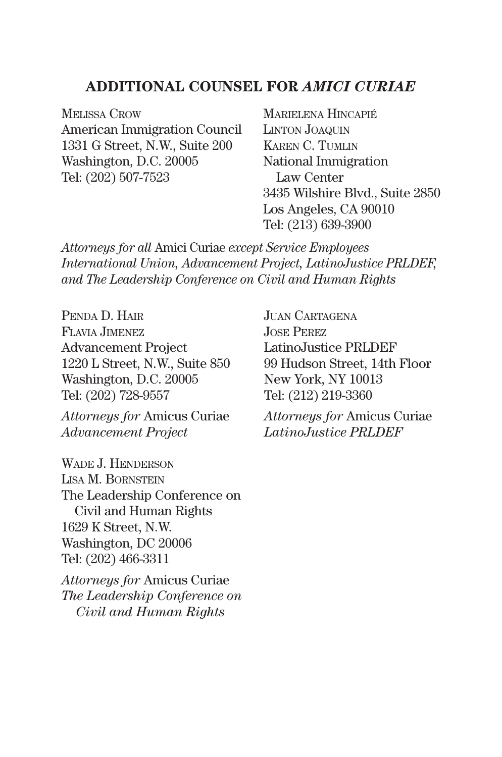#### **ADDITIONAL COUNSEL FOR** *AMICI CURIAE*

MELISSA CROW American Immigration Council 1331 G Street, N.W., Suite 200 Washington, D.C. 20005 Tel: (202) 507-7523

MARIELENA HINCAPIÉ LINTON JOAQUIN Karen c. TUmLIn National Immigration Law Center 3435 Wilshire Blvd., Suite 2850 Los Angeles, CA 90010 Tel: (213) 639-3900

*Attorneys for all* Amici Curiae *except Service Employees International Union, Advancement Project, LatinoJustice PRLDEF, and The Leadership Conference on Civil and Human Rights*

PENDA D. HAIR fLavIa JImenez Advancement Project 1220 L Street, N.W., Suite 850 Washington, D.C. 20005 Tel: (202) 728-9557

*Attorneys for* Amicus Curiae *Advancement Project*

WADE J. HENDERSON LISA M. BORNSTEIN The Leadership Conference on Civil and Human Rights 1629 K Street, N.W. Washington, DC 20006 Tel: (202) 466-3311

*Attorneys for* Amicus Curiae *The Leadership Conference on Civil and Human Rights*

JUAN CARTAGENA JoSe Perez LatinoJustice PRLDEF 99 Hudson Street, 14th Floor New York, NY 10013 Tel: (212) 219-3360

*Attorneys for* Amicus Curiae *LatinoJustice PRLDEF*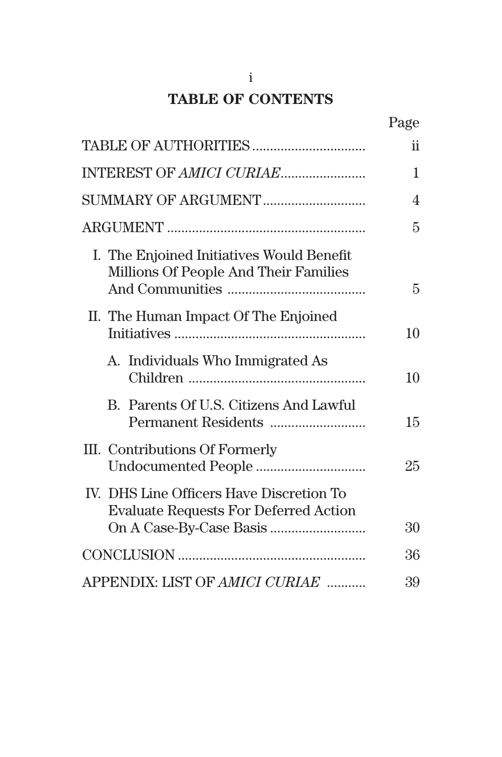# **TABLE OF CONTENTS**

|                                                                                          | Page |
|------------------------------------------------------------------------------------------|------|
|                                                                                          | ii   |
|                                                                                          | 1    |
|                                                                                          | 4    |
|                                                                                          | 5    |
| I. The Enjoined Initiatives Would Benefit<br>Millions Of People And Their Families       | 5    |
| II. The Human Impact Of The Enjoined                                                     | 10   |
| A. Individuals Who Immigrated As                                                         | 10   |
| B. Parents Of U.S. Citizens And Lawful                                                   | 15   |
| III. Contributions Of Formerly                                                           | 25   |
| IV. DHS Line Officers Have Discretion To<br><b>Evaluate Requests For Deferred Action</b> | 30   |
|                                                                                          | 36   |
|                                                                                          |      |
| APPENDIX: LIST OF AMICI CURIAE                                                           | 39   |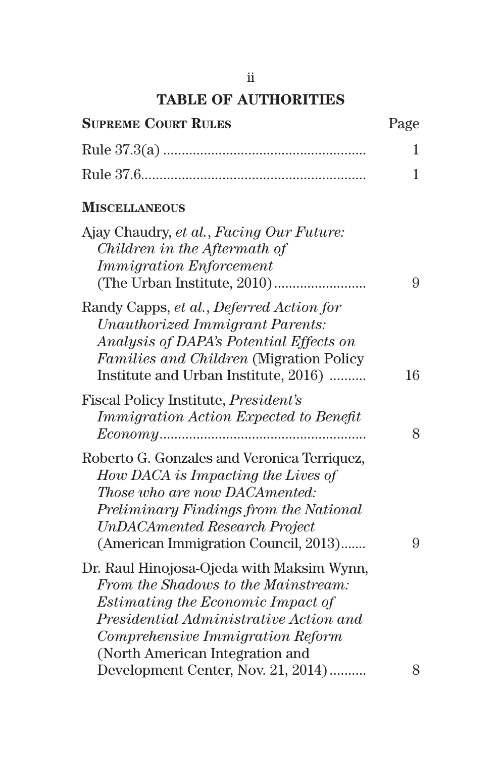## **TABLE OF AUTHORITIES**

| <b>SUPREME COURT RULES</b>                                                                                                                                                                                                                    | Page |
|-----------------------------------------------------------------------------------------------------------------------------------------------------------------------------------------------------------------------------------------------|------|
|                                                                                                                                                                                                                                               | 1    |
|                                                                                                                                                                                                                                               | 1    |
| <b>MISCELLANEOUS</b>                                                                                                                                                                                                                          |      |
| Ajay Chaudry, et al., Facing Our Future:<br>Children in the Aftermath of<br><i><b>Immigration Enforcement</b></i>                                                                                                                             | 9    |
| Randy Capps, et al., Deferred Action for<br>Unauthorized Immigrant Parents:<br>Analysis of DAPA's Potential Effects on<br><i>Families and Children</i> (Migration Policy)<br>Institute and Urban Institute, 2016)                             | 16   |
| Fiscal Policy Institute, <i>President's</i><br><b>Immigration Action Expected to Benefit</b>                                                                                                                                                  | 8    |
| Roberto G. Gonzales and Veronica Terriquez,<br>How DACA is Impacting the Lives of<br>Those who are now DACAmented:<br>Preliminary Findings from the National<br><b>UnDACAmented Research Project</b><br>(American Immigration Council, 2013)  | 9    |
| Dr. Raul Hinojosa-Ojeda with Maksim Wynn,<br>From the Shadows to the Mainstream:<br><i>Estimating the Economic Impact of</i><br>Presidential Administrative Action and<br>Comprehensive Immigration Reform<br>(North American Integration and |      |
| Development Center, Nov. 21, 2014)                                                                                                                                                                                                            | 8    |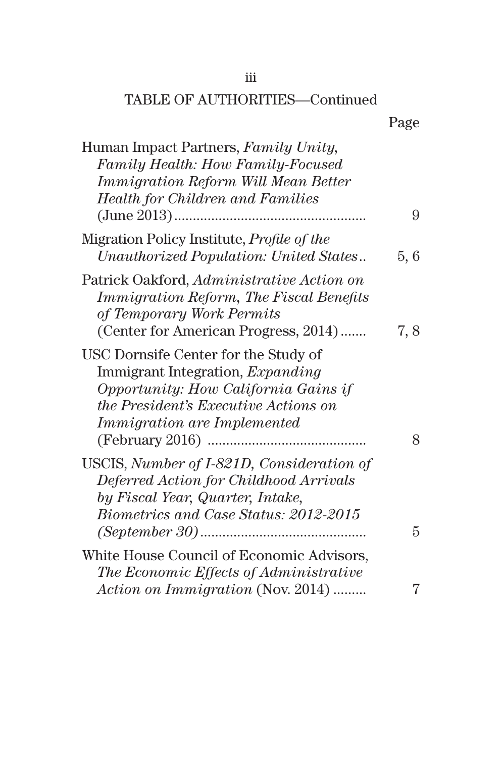## TABLE OF AUTHORITIES—Continued

| Human Impact Partners, Family Unity,<br>Family Health: How Family-Focused<br>Immigration Reform Will Mean Better                                                                                             |      |
|--------------------------------------------------------------------------------------------------------------------------------------------------------------------------------------------------------------|------|
| <b>Health for Children and Families</b>                                                                                                                                                                      | 9    |
| Migration Policy Institute, <i>Profile of the</i><br>Unauthorized Population: United States                                                                                                                  | 5, 6 |
| Patrick Oakford, Administrative Action on<br><i><b>Immigration Reform, The Fiscal Benefits</b></i><br>of Temporary Work Permits                                                                              |      |
| (Center for American Progress, 2014)                                                                                                                                                                         | 7, 8 |
| USC Dornsife Center for the Study of<br>Immigrant Integration, <i>Expanding</i><br>Opportunity: How California Gains if<br><i>the President's Executive Actions on</i><br><i>Immigration are Implemented</i> |      |
| USCIS, Number of I-821D, Consideration of<br>Deferred Action for Childhood Arrivals<br>by Fiscal Year, Quarter, Intake,<br>Biometrics and Case Status: 2012-2015                                             | 8    |
|                                                                                                                                                                                                              | 5    |
| White House Council of Economic Advisors,<br>The Economic Effects of Administrative                                                                                                                          |      |
| Action on Immigration (Nov. 2014)                                                                                                                                                                            | 7    |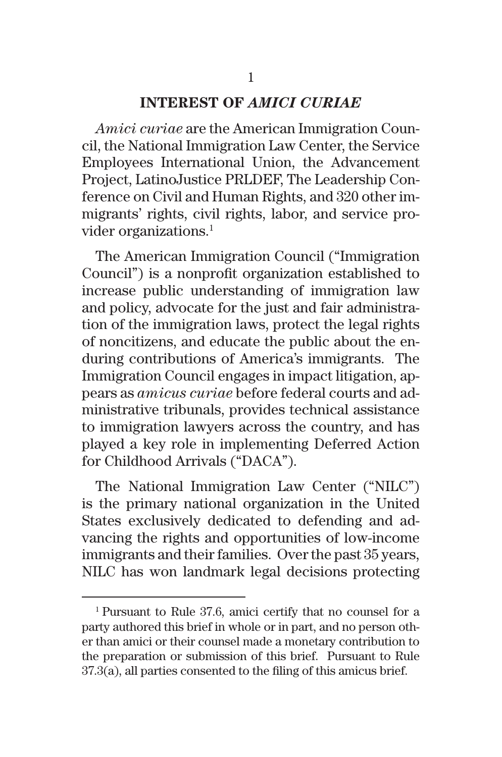#### **INTEREST OF** *AMICI CURIAE*

*Amici curiae* are the American Immigration Council, the National Immigration Law Center, the Service Employees International Union, the Advancement Project, LatinoJustice PRLDEF, The Leadership Conference on Civil and Human Rights, and 320 other immigrants' rights, civil rights, labor, and service provider organizations.<sup>1</sup>

The American Immigration Council ("Immigration Council") is a nonprofit organization established to increase public understanding of immigration law and policy, advocate for the just and fair administration of the immigration laws, protect the legal rights of noncitizens, and educate the public about the enduring contributions of America's immigrants. The Immigration Council engages in impact litigation, appears as *amicus curiae* before federal courts and administrative tribunals, provides technical assistance to immigration lawyers across the country, and has played a key role in implementing Deferred Action for Childhood Arrivals ("DACA").

The National Immigration Law Center ("NILC") is the primary national organization in the United States exclusively dedicated to defending and advancing the rights and opportunities of low-income immigrants and their families. Over the past 35 years, NILC has won landmark legal decisions protecting

<sup>1</sup> Pursuant to Rule 37.6, amici certify that no counsel for a party authored this brief in whole or in part, and no person other than amici or their counsel made a monetary contribution to the preparation or submission of this brief. Pursuant to Rule 37.3(a), all parties consented to the filing of this amicus brief.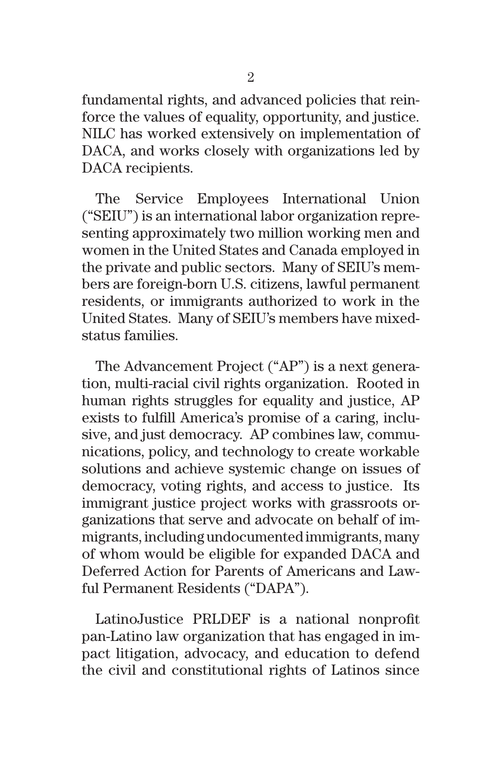fundamental rights, and advanced policies that reinforce the values of equality, opportunity, and justice. NILC has worked extensively on implementation of DACA, and works closely with organizations led by DACA recipients.

The Service Employees International Union ("SEIU") is an international labor organization representing approximately two million working men and women in the United States and Canada employed in the private and public sectors. Many of SEIU's members are foreign-born U.S. citizens, lawful permanent residents, or immigrants authorized to work in the United States. Many of SEIU's members have mixedstatus families.

The Advancement Project ("AP") is a next generation, multi-racial civil rights organization. Rooted in human rights struggles for equality and justice, AP exists to fulfill America's promise of a caring, inclusive, and just democracy. AP combines law, communications, policy, and technology to create workable solutions and achieve systemic change on issues of democracy, voting rights, and access to justice. Its immigrant justice project works with grassroots organizations that serve and advocate on behalf of immigrants, including undocumented immigrants, many of whom would be eligible for expanded DACA and Deferred Action for Parents of Americans and Lawful Permanent Residents ("DAPA").

LatinoJustice PRLDEF is a national nonprofit pan-Latino law organization that has engaged in impact litigation, advocacy, and education to defend the civil and constitutional rights of Latinos since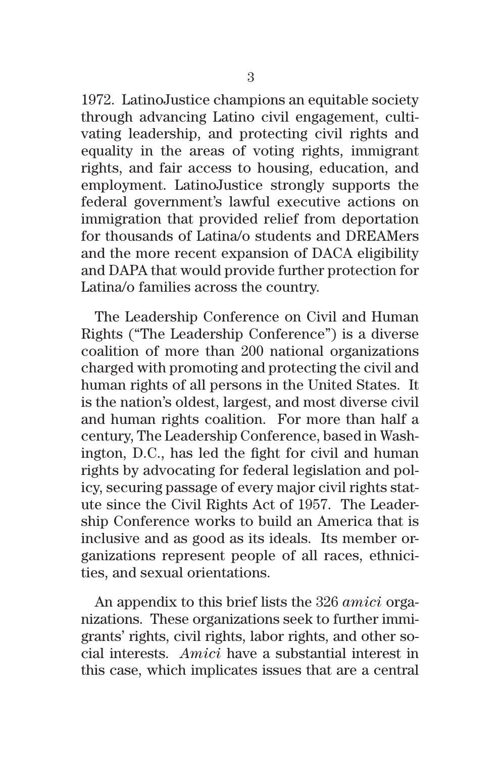1972. LatinoJustice champions an equitable society through advancing Latino civil engagement, cultivating leadership, and protecting civil rights and equality in the areas of voting rights, immigrant rights, and fair access to housing, education, and employment. LatinoJustice strongly supports the federal government's lawful executive actions on immigration that provided relief from deportation for thousands of Latina/o students and DREAMers and the more recent expansion of DACA eligibility and DAPA that would provide further protection for Latina/o families across the country.

The Leadership Conference on Civil and Human Rights ("The Leadership Conference") is a diverse coalition of more than 200 national organizations charged with promoting and protecting the civil and human rights of all persons in the United States. It is the nation's oldest, largest, and most diverse civil and human rights coalition. For more than half a century, The Leadership Conference, based in Washington, D.C., has led the fight for civil and human rights by advocating for federal legislation and policy, securing passage of every major civil rights statute since the Civil Rights Act of 1957. The Leadership Conference works to build an America that is inclusive and as good as its ideals. Its member organizations represent people of all races, ethnicities, and sexual orientations.

An appendix to this brief lists the 326 *amici* organizations. These organizations seek to further immigrants' rights, civil rights, labor rights, and other social interests. *Amici* have a substantial interest in this case, which implicates issues that are a central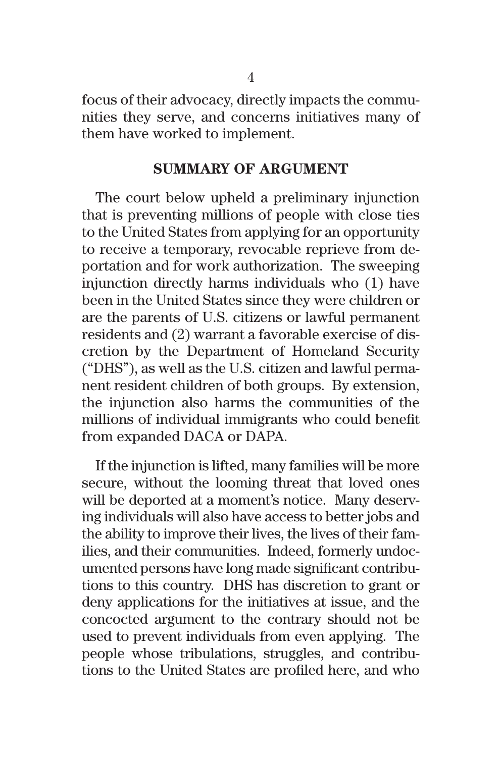focus of their advocacy, directly impacts the communities they serve, and concerns initiatives many of them have worked to implement.

#### **SUMMARY OF ARGUMENT**

The court below upheld a preliminary injunction that is preventing millions of people with close ties to the United States from applying for an opportunity to receive a temporary, revocable reprieve from deportation and for work authorization. The sweeping injunction directly harms individuals who (1) have been in the United States since they were children or are the parents of U.S. citizens or lawful permanent residents and (2) warrant a favorable exercise of discretion by the Department of Homeland Security ("DHS"), as well as the U.S. citizen and lawful permanent resident children of both groups. By extension, the injunction also harms the communities of the millions of individual immigrants who could benefit from expanded DACA or DAPA.

If the injunction is lifted, many families will be more secure, without the looming threat that loved ones will be deported at a moment's notice. Many deserving individuals will also have access to better jobs and the ability to improve their lives, the lives of their families, and their communities. Indeed, formerly undocumented persons have long made significant contributions to this country. DHS has discretion to grant or deny applications for the initiatives at issue, and the concocted argument to the contrary should not be used to prevent individuals from even applying. The people whose tribulations, struggles, and contributions to the United States are profiled here, and who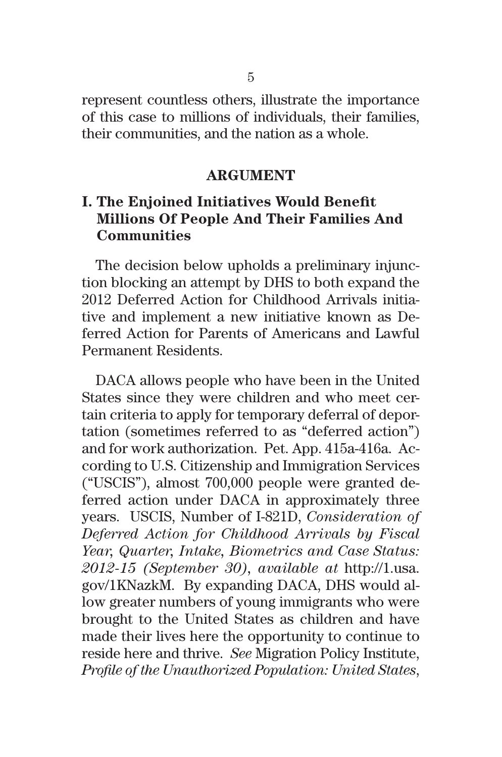represent countless others, illustrate the importance of this case to millions of individuals, their families, their communities, and the nation as a whole.

#### **ARGUMENT**

## **I. The Enjoined Initiatives Would Benefit Millions Of People And Their Families And Communities**

The decision below upholds a preliminary injunction blocking an attempt by DHS to both expand the 2012 Deferred Action for Childhood Arrivals initiative and implement a new initiative known as Deferred Action for Parents of Americans and Lawful Permanent Residents.

DACA allows people who have been in the United States since they were children and who meet certain criteria to apply for temporary deferral of deportation (sometimes referred to as "deferred action") and for work authorization. Pet. App. 415a-416a. According to U.S. Citizenship and Immigration Services ("USCIS"), almost 700,000 people were granted deferred action under DACA in approximately three years. USCIS, Number of I-821D, *Consideration of Deferred Action for Childhood Arrivals by Fiscal Year, Quarter, Intake, Biometrics and Case Status: 2012-15 (September 30), available at* http://1.usa. gov/1KNazkM. By expanding DACA, DHS would allow greater numbers of young immigrants who were brought to the United States as children and have made their lives here the opportunity to continue to reside here and thrive. *See* Migration Policy Institute, *Profile of the Unauthorized Population: United States*,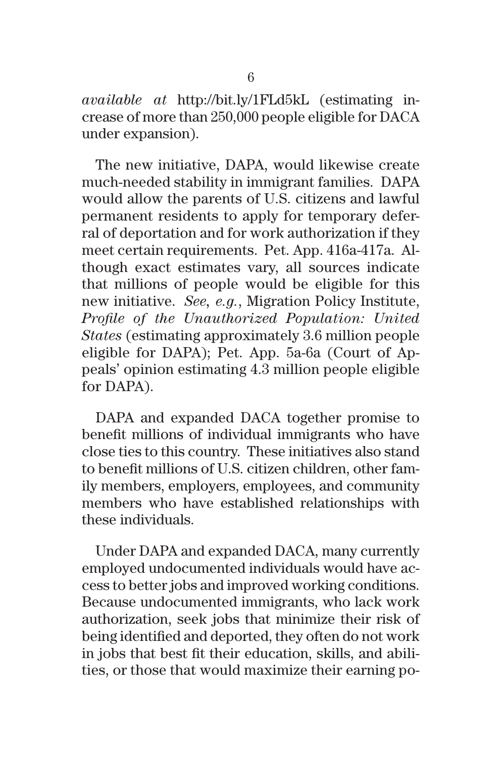*available at* http://bit.ly/1FLd5kL (estimating increase of more than 250,000 people eligible for DACA under expansion).

The new initiative, DAPA, would likewise create much-needed stability in immigrant families. DAPA would allow the parents of U.S. citizens and lawful permanent residents to apply for temporary deferral of deportation and for work authorization if they meet certain requirements. Pet. App. 416a-417a. Although exact estimates vary, all sources indicate that millions of people would be eligible for this new initiative. *See, e.g.*, Migration Policy Institute, *Profile of the Unauthorized Population: United States* (estimating approximately 3.6 million people eligible for DAPA); Pet. App. 5a-6a (Court of Appeals' opinion estimating 4.3 million people eligible for DAPA).

DAPA and expanded DACA together promise to benefit millions of individual immigrants who have close ties to this country. These initiatives also stand to benefit millions of U.S. citizen children, other family members, employers, employees, and community members who have established relationships with these individuals.

Under DAPA and expanded DACA, many currently employed undocumented individuals would have access to better jobs and improved working conditions. Because undocumented immigrants, who lack work authorization, seek jobs that minimize their risk of being identified and deported, they often do not work in jobs that best fit their education, skills, and abilities, or those that would maximize their earning po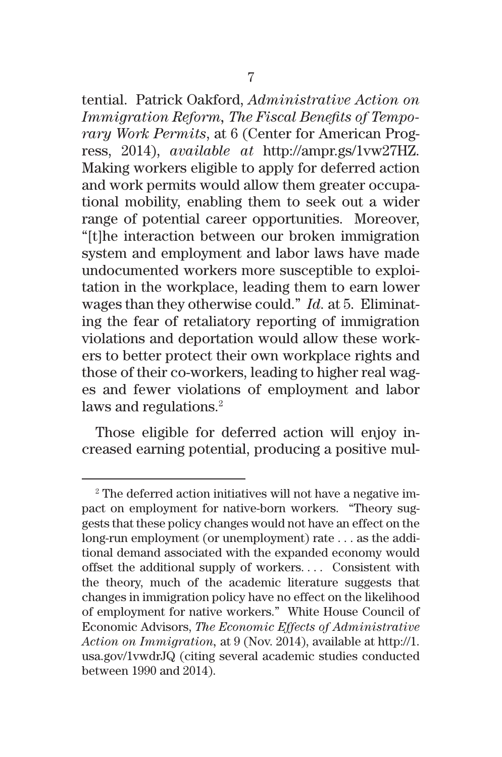tential. Patrick Oakford, *Administrative Action on Immigration Reform, The Fiscal Benefits of Temporary Work Permits*, at 6 (Center for American Progress, 2014), *available at* http://ampr.gs/1vw27HZ. Making workers eligible to apply for deferred action and work permits would allow them greater occupational mobility, enabling them to seek out a wider range of potential career opportunities. Moreover, "[t]he interaction between our broken immigration system and employment and labor laws have made undocumented workers more susceptible to exploitation in the workplace, leading them to earn lower wages than they otherwise could." *Id.* at 5. Eliminating the fear of retaliatory reporting of immigration violations and deportation would allow these workers to better protect their own workplace rights and those of their co-workers, leading to higher real wages and fewer violations of employment and labor laws and regulations.<sup>2</sup>

Those eligible for deferred action will enjoy increased earning potential, producing a positive mul-

<sup>&</sup>lt;sup>2</sup> The deferred action initiatives will not have a negative impact on employment for native-born workers. "Theory suggests that these policy changes would not have an effect on the long-run employment (or unemployment) rate . . . as the additional demand associated with the expanded economy would offset the additional supply of workers. . . . Consistent with the theory, much of the academic literature suggests that changes in immigration policy have no effect on the likelihood of employment for native workers." White House Council of Economic Advisors, *The Economic Effects of Administrative Action on Immigration,* at 9 (Nov. 2014), available at http://1. usa.gov/1vwdrJQ (citing several academic studies conducted between 1990 and 2014).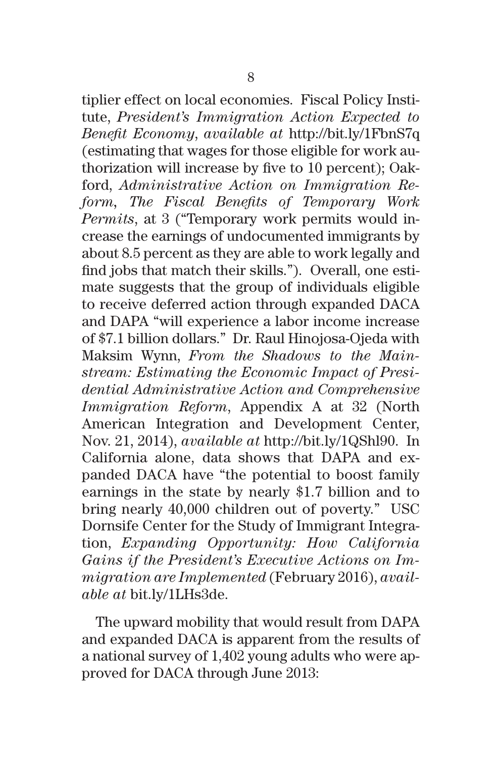tiplier effect on local economies. Fiscal Policy Institute, *President's Immigration Action Expected to Benefit Economy*, *available at* http://bit.ly/1FbnS7q (estimating that wages for those eligible for work authorization will increase by five to 10 percent); Oakford, *Administrative Action on Immigration Reform, The Fiscal Benefits of Temporary Work Permits*, at 3 ("Temporary work permits would increase the earnings of undocumented immigrants by about 8.5 percent as they are able to work legally and find jobs that match their skills."). Overall, one estimate suggests that the group of individuals eligible to receive deferred action through expanded DACA and DAPA "will experience a labor income increase of \$7.1 billion dollars." Dr. Raul Hinojosa-Ojeda with Maksim Wynn, *From the Shadows to the Mainstream: Estimating the Economic Impact of Presidential Administrative Action and Comprehensive Immigration Reform*, Appendix A at 32 (North American Integration and Development Center, Nov. 21, 2014), *available at* http://bit.ly/1QShl90. In California alone, data shows that DAPA and expanded DACA have "the potential to boost family earnings in the state by nearly \$1.7 billion and to bring nearly 40,000 children out of poverty." USC Dornsife Center for the Study of Immigrant Integration, *Expanding Opportunity: How California Gains if the President's Executive Actions on Immigration are Implemented* (February 2016), *available at* bit.ly/1LHs3de.

The upward mobility that would result from DAPA and expanded DACA is apparent from the results of a national survey of 1,402 young adults who were approved for DACA through June 2013: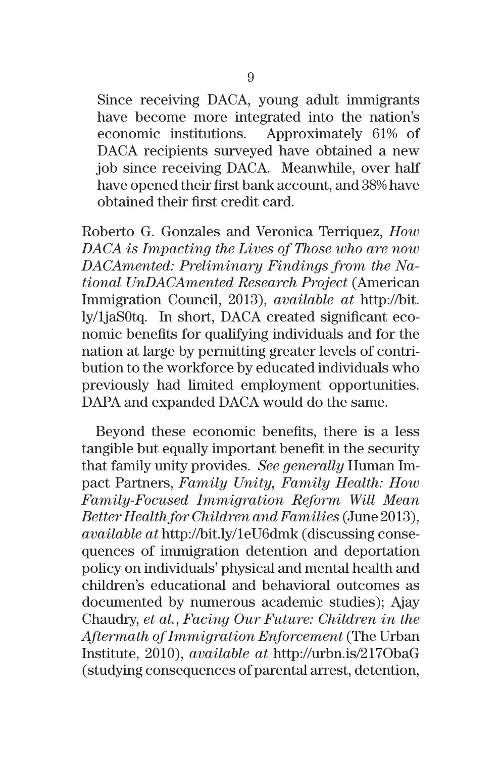Since receiving DACA, young adult immigrants have become more integrated into the nation's economic institutions. Approximately 61% of DACA recipients surveyed have obtained a new job since receiving DACA. Meanwhile, over half have opened their first bank account, and 38% have obtained their first credit card.

Roberto G. Gonzales and Veronica Terriquez, *How DACA is Impacting the Lives of Those who are now DACAmented: Preliminary Findings from the National UnDACAmented Research Project* (American Immigration Council, 2013), *available at* http://bit. ly/1jaS0tq. In short, DACA created significant economic benefits for qualifying individuals and for the nation at large by permitting greater levels of contribution to the workforce by educated individuals who previously had limited employment opportunities. DAPA and expanded DACA would do the same.

Beyond these economic benefits, there is a less tangible but equally important benefit in the security that family unity provides. *See generally* Human Impact Partners, *Family Unity, Family Health: How Family-Focused Immigration Reform Will Mean Better Health for Children and Families* (June 2013), *available at* http://bit.ly/1eU6dmk (discussing consequences of immigration detention and deportation policy on individuals' physical and mental health and children's educational and behavioral outcomes as documented by numerous academic studies); Ajay Chaudry, *et al.*, *Facing Our Future: Children in the Aftermath of Immigration Enforcement* (The Urban Institute, 2010), *available at* http://urbn.is/217ObaG (studying consequences of parental arrest, detention,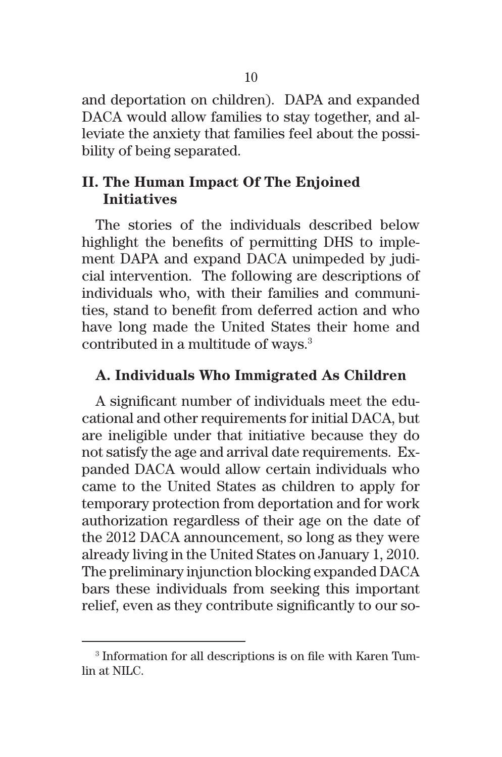and deportation on children). DAPA and expanded DACA would allow families to stay together, and alleviate the anxiety that families feel about the possibility of being separated.

### **II. The Human Impact Of The Enjoined Initiatives**

The stories of the individuals described below highlight the benefits of permitting DHS to implement DAPA and expand DACA unimpeded by judicial intervention. The following are descriptions of individuals who, with their families and communities, stand to benefit from deferred action and who have long made the United States their home and contributed in a multitude of ways.<sup>3</sup>

### **A. Individuals Who Immigrated As Children**

A significant number of individuals meet the educational and other requirements for initial DACA, but are ineligible under that initiative because they do not satisfy the age and arrival date requirements. Expanded DACA would allow certain individuals who came to the United States as children to apply for temporary protection from deportation and for work authorization regardless of their age on the date of the 2012 DACA announcement, so long as they were already living in the United States on January 1, 2010. The preliminary injunction blocking expanded DACA bars these individuals from seeking this important relief, even as they contribute significantly to our so-

<sup>3</sup> Information for all descriptions is on file with Karen Tumlin at NILC.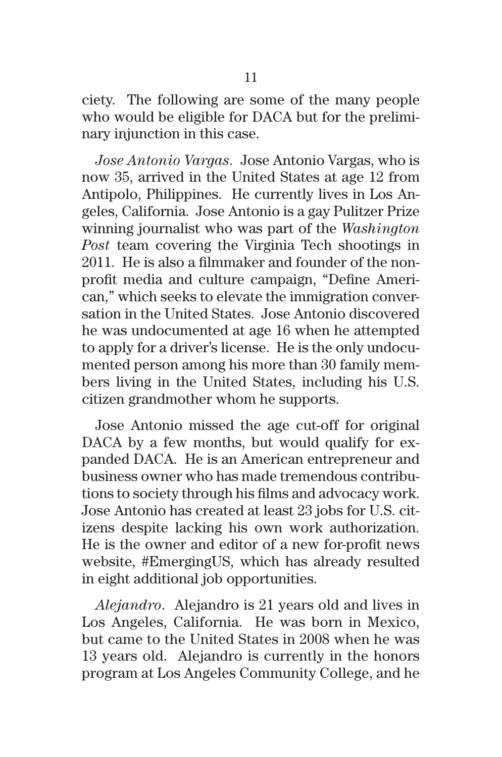ciety. The following are some of the many people who would be eligible for DACA but for the preliminary injunction in this case.

*Jose Antonio Vargas*.Jose Antonio Vargas, who is now 35, arrived in the United States at age 12 from Antipolo, Philippines. He currently lives in Los Angeles, California. Jose Antonio is a gay Pulitzer Prize winning journalist who was part of the *Washington Post* team covering the Virginia Tech shootings in 2011. He is also a filmmaker and founder of the nonprofit media and culture campaign, "Define American," which seeks to elevate the immigration conversation in the United States. Jose Antonio discovered he was undocumented at age 16 when he attempted to apply for a driver's license. He is the only undocumented person among his more than 30 family members living in the United States, including his U.S. citizen grandmother whom he supports.

Jose Antonio missed the age cut-off for original DACA by a few months, but would qualify for expanded DACA. He is an American entrepreneur and business owner who has made tremendous contributions to society through his films and advocacy work. Jose Antonio has created at least 23 jobs for U.S. citizens despite lacking his own work authorization. He is the owner and editor of a new for-profit news website, #EmergingUS, which has already resulted in eight additional job opportunities.

*Alejandro*. Alejandro is 21 years old and lives in Los Angeles, California. He was born in Mexico, but came to the United States in 2008 when he was 13 years old. Alejandro is currently in the honors program at Los Angeles Community College, and he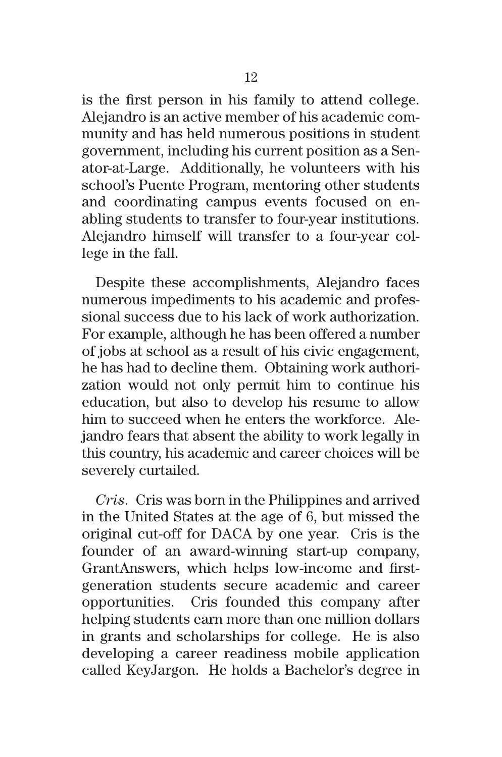is the first person in his family to attend college. Alejandro is an active member of his academic community and has held numerous positions in student government, including his current position as a Senator-at-Large. Additionally, he volunteers with his school's Puente Program, mentoring other students and coordinating campus events focused on enabling students to transfer to four-year institutions. Alejandro himself will transfer to a four-year college in the fall.

Despite these accomplishments, Alejandro faces numerous impediments to his academic and professional success due to his lack of work authorization. For example, although he has been offered a number of jobs at school as a result of his civic engagement, he has had to decline them. Obtaining work authorization would not only permit him to continue his education, but also to develop his resume to allow him to succeed when he enters the workforce. Alejandro fears that absent the ability to work legally in this country, his academic and career choices will be severely curtailed.

*Cris*.Cris was born in the Philippines and arrived in the United States at the age of 6, but missed the original cut-off for DACA by one year. Cris is the founder of an award-winning start-up company, GrantAnswers, which helps low-income and firstgeneration students secure academic and career opportunities. Cris founded this company after helping students earn more than one million dollars in grants and scholarships for college. He is also developing a career readiness mobile application called KeyJargon. He holds a Bachelor's degree in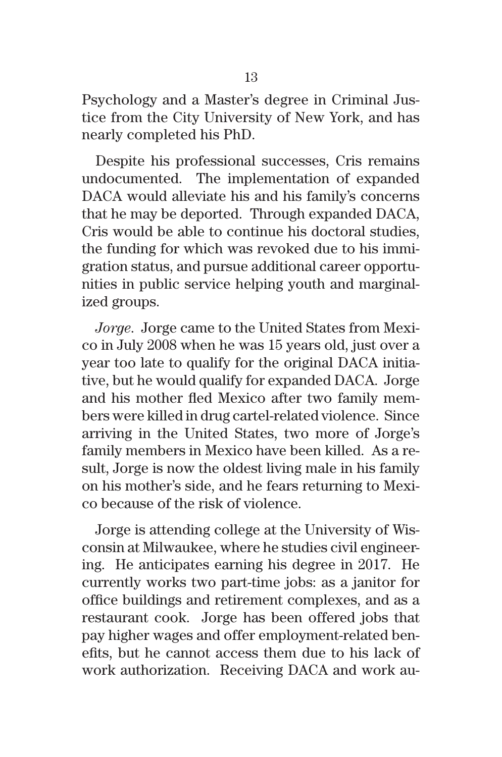Psychology and a Master's degree in Criminal Justice from the City University of New York, and has nearly completed his PhD.

Despite his professional successes, Cris remains undocumented. The implementation of expanded DACA would alleviate his and his family's concerns that he may be deported. Through expanded DACA, Cris would be able to continue his doctoral studies, the funding for which was revoked due to his immigration status, and pursue additional career opportunities in public service helping youth and marginalized groups.

*Jorge*. Jorge came to the United States from Mexico in July 2008 when he was 15 years old, just over a year too late to qualify for the original DACA initiative, but he would qualify for expanded DACA. Jorge and his mother fled Mexico after two family members were killed in drug cartel-related violence. Since arriving in the United States, two more of Jorge's family members in Mexico have been killed. As a result, Jorge is now the oldest living male in his family on his mother's side, and he fears returning to Mexico because of the risk of violence.

Jorge is attending college at the University of Wisconsin at Milwaukee, where he studies civil engineering. He anticipates earning his degree in 2017. He currently works two part-time jobs: as a janitor for office buildings and retirement complexes, and as a restaurant cook. Jorge has been offered jobs that pay higher wages and offer employment-related benefits, but he cannot access them due to his lack of work authorization. Receiving DACA and work au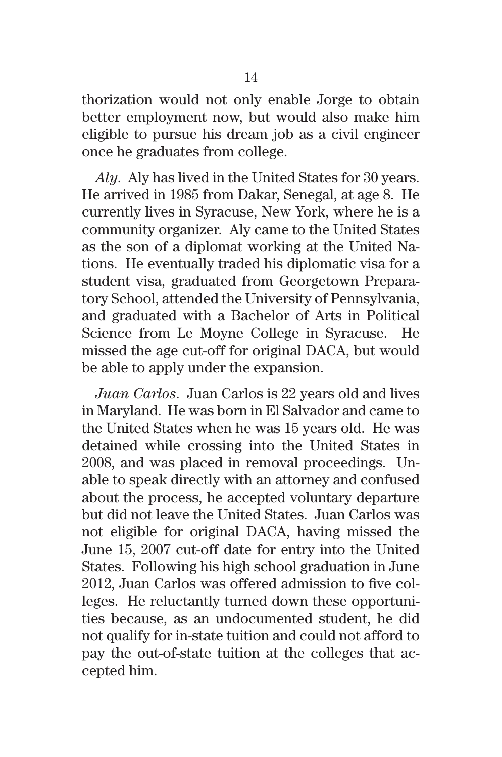thorization would not only enable Jorge to obtain better employment now, but would also make him eligible to pursue his dream job as a civil engineer once he graduates from college.

*Aly*. Aly has lived in the United States for 30 years. He arrived in 1985 from Dakar, Senegal, at age 8. He currently lives in Syracuse, New York, where he is a community organizer. Aly came to the United States as the son of a diplomat working at the United Nations. He eventually traded his diplomatic visa for a student visa, graduated from Georgetown Preparatory School, attended the University of Pennsylvania, and graduated with a Bachelor of Arts in Political Science from Le Moyne College in Syracuse. He missed the age cut-off for original DACA, but would be able to apply under the expansion.

*Juan Carlos*. Juan Carlos is 22 years old and lives in Maryland. He was born in El Salvador and came to the United States when he was 15 years old. He was detained while crossing into the United States in 2008, and was placed in removal proceedings. Unable to speak directly with an attorney and confused about the process, he accepted voluntary departure but did not leave the United States. Juan Carlos was not eligible for original DACA, having missed the June 15, 2007 cut-off date for entry into the United States. Following his high school graduation in June 2012, Juan Carlos was offered admission to five colleges. He reluctantly turned down these opportunities because, as an undocumented student, he did not qualify for in-state tuition and could not afford to pay the out-of-state tuition at the colleges that accepted him.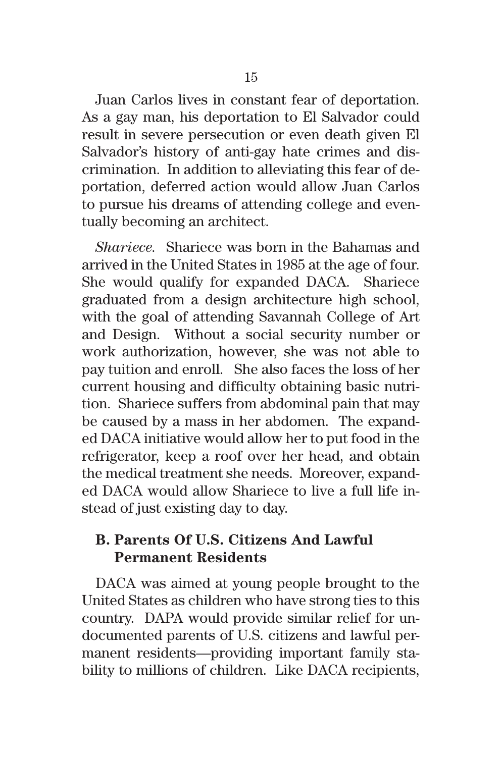Juan Carlos lives in constant fear of deportation. As a gay man, his deportation to El Salvador could result in severe persecution or even death given El Salvador's history of anti-gay hate crimes and discrimination. In addition to alleviating this fear of deportation, deferred action would allow Juan Carlos to pursue his dreams of attending college and eventually becoming an architect.

*Shariece.*Shariece was born in the Bahamas and arrived in the United States in 1985 at the age of four. She would qualify for expanded DACA. Shariece graduated from a design architecture high school, with the goal of attending Savannah College of Art and Design. Without a social security number or work authorization, however, she was not able to pay tuition and enroll. She also faces the loss of her current housing and difficulty obtaining basic nutrition. Shariece suffers from abdominal pain that may be caused by a mass in her abdomen. The expanded DACA initiative would allow her to put food in the refrigerator, keep a roof over her head, and obtain the medical treatment she needs. Moreover, expanded DACA would allow Shariece to live a full life instead of just existing day to day.

## **B. Parents Of U.S. Citizens And Lawful Permanent Residents**

DACA was aimed at young people brought to the United States as children who have strong ties to this country. DAPA would provide similar relief for undocumented parents of U.S. citizens and lawful permanent residents—providing important family stability to millions of children. Like DACA recipients,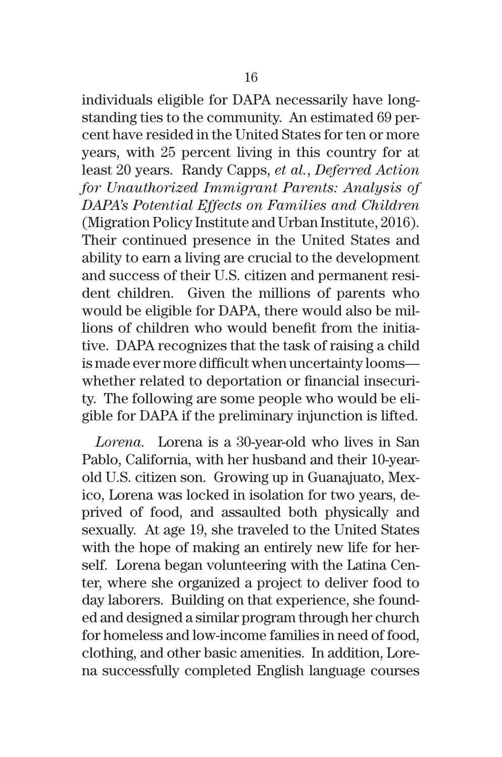individuals eligible for DAPA necessarily have longstanding ties to the community. An estimated 69 percent have resided in the United States for ten or more years, with 25 percent living in this country for at least 20 years. Randy Capps, *et al.*, *Deferred Action for Unauthorized Immigrant Parents: Analysis of DAPA's Potential Effects on Families and Children* (Migration Policy Institute and Urban Institute, 2016). Their continued presence in the United States and ability to earn a living are crucial to the development and success of their U.S. citizen and permanent resident children. Given the millions of parents who would be eligible for DAPA, there would also be millions of children who would benefit from the initiative. DAPA recognizes that the task of raising a child is made ever more difficult when uncertainty looms whether related to deportation or financial insecurity. The following are some people who would be eligible for DAPA if the preliminary injunction is lifted.

*Lorena.*Lorena is a 30-year-old who lives in San Pablo, California, with her husband and their 10-yearold U.S. citizen son. Growing up in Guanajuato, Mexico, Lorena was locked in isolation for two years, deprived of food, and assaulted both physically and sexually. At age 19, she traveled to the United States with the hope of making an entirely new life for herself. Lorena began volunteering with the Latina Center, where she organized a project to deliver food to day laborers. Building on that experience, she founded and designed a similar program through her church for homeless and low-income families in need of food, clothing, and other basic amenities. In addition, Lorena successfully completed English language courses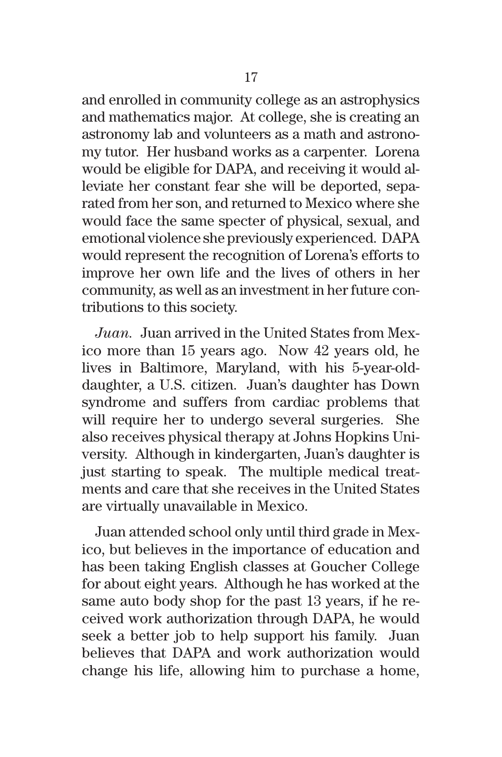and enrolled in community college as an astrophysics and mathematics major. At college, she is creating an astronomy lab and volunteers as a math and astronomy tutor. Her husband works as a carpenter. Lorena would be eligible for DAPA, and receiving it would alleviate her constant fear she will be deported, separated from her son, and returned to Mexico where she would face the same specter of physical, sexual, and emotional violence she previously experienced. DAPA would represent the recognition of Lorena's efforts to improve her own life and the lives of others in her community, as well as an investment in her future contributions to this society.

*Juan.*Juan arrived in the United States from Mexico more than 15 years ago. Now 42 years old, he lives in Baltimore, Maryland, with his 5-year-olddaughter, a U.S. citizen. Juan's daughter has Down syndrome and suffers from cardiac problems that will require her to undergo several surgeries. She also receives physical therapy at Johns Hopkins University. Although in kindergarten, Juan's daughter is just starting to speak. The multiple medical treatments and care that she receives in the United States are virtually unavailable in Mexico.

Juan attended school only until third grade in Mexico, but believes in the importance of education and has been taking English classes at Goucher College for about eight years. Although he has worked at the same auto body shop for the past 13 years, if he received work authorization through DAPA, he would seek a better job to help support his family. Juan believes that DAPA and work authorization would change his life, allowing him to purchase a home,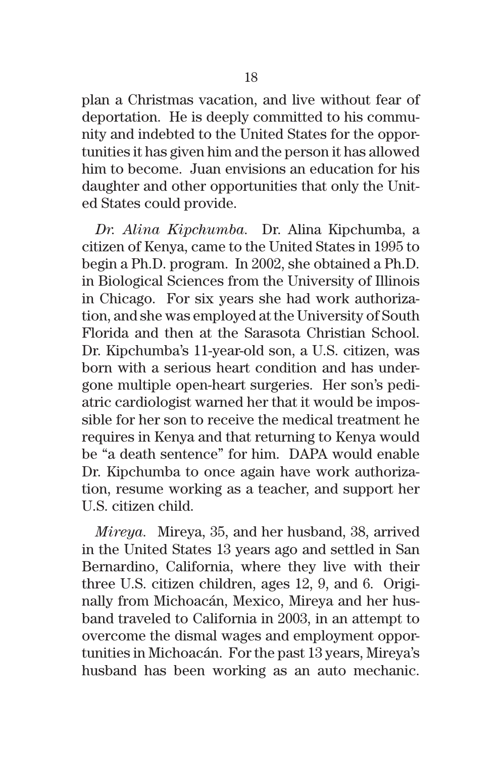plan a Christmas vacation, and live without fear of deportation. He is deeply committed to his community and indebted to the United States for the opportunities it has given him and the person it has allowed him to become. Juan envisions an education for his daughter and other opportunities that only the United States could provide.

*Dr. Alina Kipchumba.* Dr. Alina Kipchumba, a citizen of Kenya, came to the United States in 1995 to begin a Ph.D. program. In 2002, she obtained a Ph.D. in Biological Sciences from the University of Illinois in Chicago. For six years she had work authorization, and she was employed at the University of South Florida and then at the Sarasota Christian School. Dr. Kipchumba's 11-year-old son, a U.S. citizen, was born with a serious heart condition and has undergone multiple open-heart surgeries. Her son's pediatric cardiologist warned her that it would be impossible for her son to receive the medical treatment he requires in Kenya and that returning to Kenya would be "a death sentence" for him. DAPA would enable Dr. Kipchumba to once again have work authorization, resume working as a teacher, and support her U.S. citizen child.

*Mireya.*Mireya, 35, and her husband, 38, arrived in the United States 13 years ago and settled in San Bernardino, California, where they live with their three U.S. citizen children, ages 12, 9, and 6. Originally from Michoacán, Mexico, Mireya and her husband traveled to California in 2003, in an attempt to overcome the dismal wages and employment opportunities in Michoacán. For the past 13 years, Mireya's husband has been working as an auto mechanic.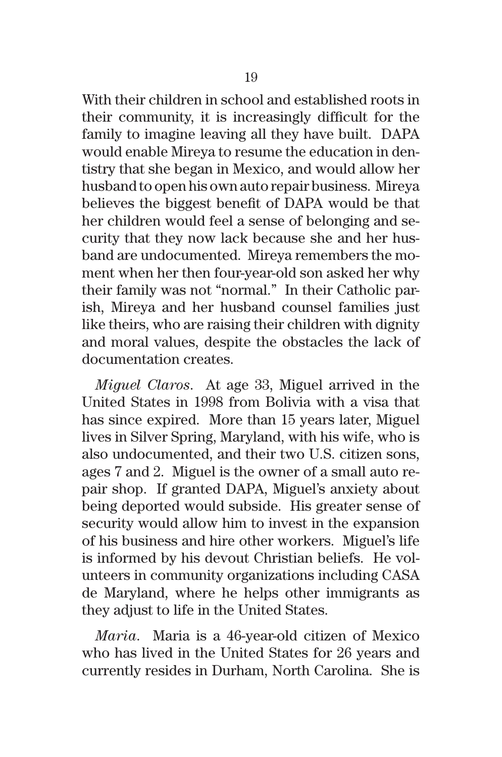With their children in school and established roots in their community, it is increasingly difficult for the family to imagine leaving all they have built. DAPA would enable Mireya to resume the education in dentistry that she began in Mexico, and would allow her husband to open his own auto repair business. Mireya believes the biggest benefit of DAPA would be that her children would feel a sense of belonging and security that they now lack because she and her husband are undocumented. Mireya remembers the moment when her then four-year-old son asked her why their family was not "normal." In their Catholic parish, Mireya and her husband counsel families just like theirs, who are raising their children with dignity and moral values, despite the obstacles the lack of documentation creates.

*Miguel Claros*. At age 33, Miguel arrived in the United States in 1998 from Bolivia with a visa that has since expired. More than 15 years later, Miguel lives in Silver Spring, Maryland, with his wife, who is also undocumented, and their two U.S. citizen sons, ages 7 and 2. Miguel is the owner of a small auto repair shop. If granted DAPA, Miguel's anxiety about being deported would subside. His greater sense of security would allow him to invest in the expansion of his business and hire other workers. Miguel's life is informed by his devout Christian beliefs. He volunteers in community organizations including CASA de Maryland, where he helps other immigrants as they adjust to life in the United States.

*Maria*. Maria is a 46-year-old citizen of Mexico who has lived in the United States for 26 years and currently resides in Durham, North Carolina. She is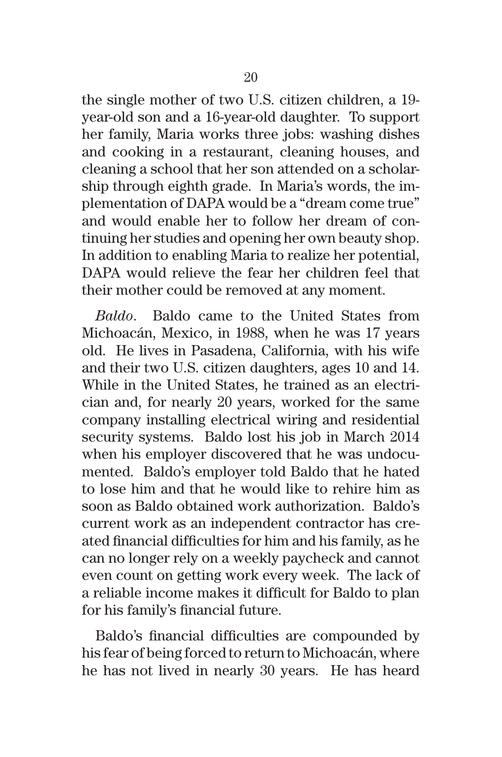the single mother of two U.S. citizen children, a 19 year-old son and a 16-year-old daughter. To support her family, Maria works three jobs: washing dishes and cooking in a restaurant, cleaning houses, and cleaning a school that her son attended on a scholarship through eighth grade. In Maria's words, the implementation of DAPA would be a "dream come true" and would enable her to follow her dream of continuing her studies and opening her own beauty shop. In addition to enabling Maria to realize her potential, DAPA would relieve the fear her children feel that their mother could be removed at any moment.

*Baldo*. Baldo came to the United States from Michoacán, Mexico, in 1988, when he was 17 years old. He lives in Pasadena, California, with his wife and their two U.S. citizen daughters, ages 10 and 14. While in the United States, he trained as an electrician and, for nearly 20 years, worked for the same company installing electrical wiring and residential security systems. Baldo lost his job in March 2014 when his employer discovered that he was undocumented. Baldo's employer told Baldo that he hated to lose him and that he would like to rehire him as soon as Baldo obtained work authorization. Baldo's current work as an independent contractor has created financial difficulties for him and his family, as he can no longer rely on a weekly paycheck and cannot even count on getting work every week. The lack of a reliable income makes it difficult for Baldo to plan for his family's financial future.

Baldo's financial difficulties are compounded by his fear of being forced to return to Michoacán, where he has not lived in nearly 30 years. He has heard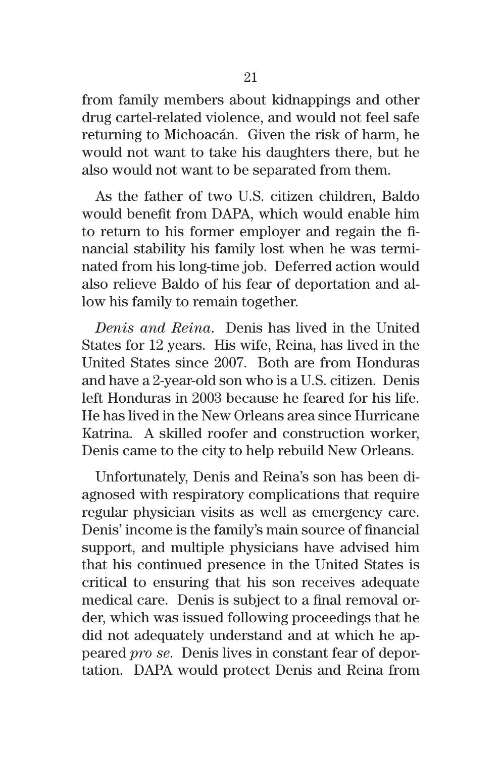from family members about kidnappings and other drug cartel-related violence, and would not feel safe returning to Michoacán. Given the risk of harm, he would not want to take his daughters there, but he also would not want to be separated from them.

As the father of two U.S. citizen children, Baldo would benefit from DAPA, which would enable him to return to his former employer and regain the financial stability his family lost when he was terminated from his long-time job. Deferred action would also relieve Baldo of his fear of deportation and allow his family to remain together.

*Denis and Reina*. Denis has lived in the United States for 12 years. His wife, Reina, has lived in the United States since 2007. Both are from Honduras and have a 2-year-old son who is a U.S. citizen. Denis left Honduras in 2003 because he feared for his life. He has lived in the New Orleans area since Hurricane Katrina. A skilled roofer and construction worker, Denis came to the city to help rebuild New Orleans.

Unfortunately, Denis and Reina's son has been diagnosed with respiratory complications that require regular physician visits as well as emergency care. Denis' income is the family's main source of financial support, and multiple physicians have advised him that his continued presence in the United States is critical to ensuring that his son receives adequate medical care. Denis is subject to a final removal order, which was issued following proceedings that he did not adequately understand and at which he appeared *pro se*. Denis lives in constant fear of deportation. DAPA would protect Denis and Reina from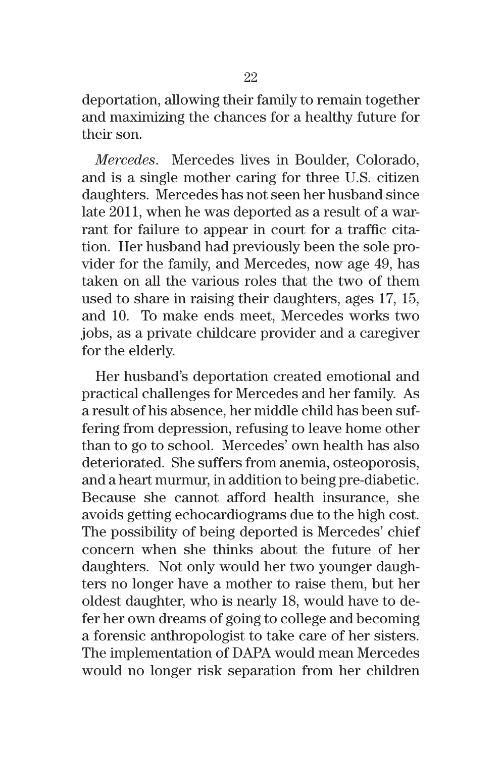deportation, allowing their family to remain together and maximizing the chances for a healthy future for their son.

*Mercedes*. Mercedes lives in Boulder, Colorado, and is a single mother caring for three U.S. citizen daughters. Mercedes has not seen her husband since late 2011, when he was deported as a result of a warrant for failure to appear in court for a traffic citation. Her husband had previously been the sole provider for the family, and Mercedes, now age 49, has taken on all the various roles that the two of them used to share in raising their daughters, ages 17, 15, and 10. To make ends meet, Mercedes works two jobs, as a private childcare provider and a caregiver for the elderly.

Her husband's deportation created emotional and practical challenges for Mercedes and her family. As a result of his absence, her middle child has been suffering from depression, refusing to leave home other than to go to school. Mercedes' own health has also deteriorated. She suffers from anemia, osteoporosis, and a heart murmur, in addition to being pre-diabetic. Because she cannot afford health insurance, she avoids getting echocardiograms due to the high cost. The possibility of being deported is Mercedes' chief concern when she thinks about the future of her daughters. Not only would her two younger daughters no longer have a mother to raise them, but her oldest daughter, who is nearly 18, would have to defer her own dreams of going to college and becoming a forensic anthropologist to take care of her sisters. The implementation of DAPA would mean Mercedes would no longer risk separation from her children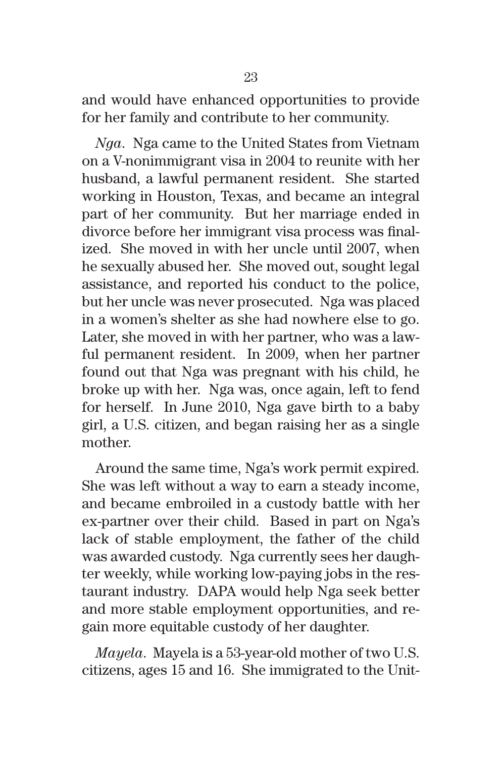and would have enhanced opportunities to provide for her family and contribute to her community.

*Nga*. Nga came to the United States from Vietnam on a V-nonimmigrant visa in 2004 to reunite with her husband, a lawful permanent resident. She started working in Houston, Texas, and became an integral part of her community. But her marriage ended in divorce before her immigrant visa process was finalized. She moved in with her uncle until 2007, when he sexually abused her. She moved out, sought legal assistance, and reported his conduct to the police, but her uncle was never prosecuted. Nga was placed in a women's shelter as she had nowhere else to go. Later, she moved in with her partner, who was a lawful permanent resident. In 2009, when her partner found out that Nga was pregnant with his child, he broke up with her. Nga was, once again, left to fend for herself. In June 2010, Nga gave birth to a baby girl, a U.S. citizen, and began raising her as a single mother.

Around the same time, Nga's work permit expired. She was left without a way to earn a steady income, and became embroiled in a custody battle with her ex-partner over their child. Based in part on Nga's lack of stable employment, the father of the child was awarded custody. Nga currently sees her daughter weekly, while working low-paying jobs in the restaurant industry. DAPA would help Nga seek better and more stable employment opportunities, and regain more equitable custody of her daughter.

*Mayela*. Mayela is a 53-year-old mother of two U.S. citizens, ages 15 and 16. She immigrated to the Unit-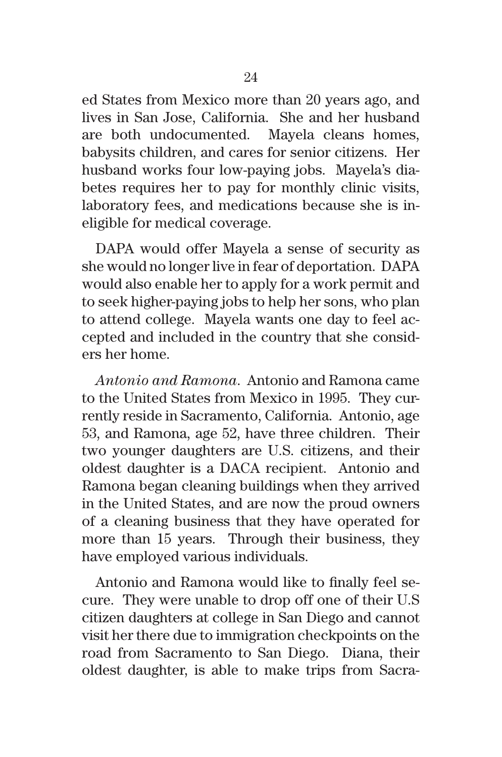ed States from Mexico more than 20 years ago, and lives in San Jose, California. She and her husband are both undocumented. Mayela cleans homes, babysits children, and cares for senior citizens. Her husband works four low-paying jobs. Mayela's diabetes requires her to pay for monthly clinic visits, laboratory fees, and medications because she is ineligible for medical coverage.

DAPA would offer Mayela a sense of security as she would no longer live in fear of deportation. DAPA would also enable her to apply for a work permit and to seek higher-paying jobs to help her sons, who plan to attend college. Mayela wants one day to feel accepted and included in the country that she considers her home.

*Antonio and Ramona*. Antonio and Ramona came to the United States from Mexico in 1995. They currently reside in Sacramento, California. Antonio, age 53, and Ramona, age 52, have three children. Their two younger daughters are U.S. citizens, and their oldest daughter is a DACA recipient. Antonio and Ramona began cleaning buildings when they arrived in the United States, and are now the proud owners of a cleaning business that they have operated for more than 15 years. Through their business, they have employed various individuals.

Antonio and Ramona would like to finally feel secure. They were unable to drop off one of their U.S citizen daughters at college in San Diego and cannot visit her there due to immigration checkpoints on the road from Sacramento to San Diego. Diana, their oldest daughter, is able to make trips from Sacra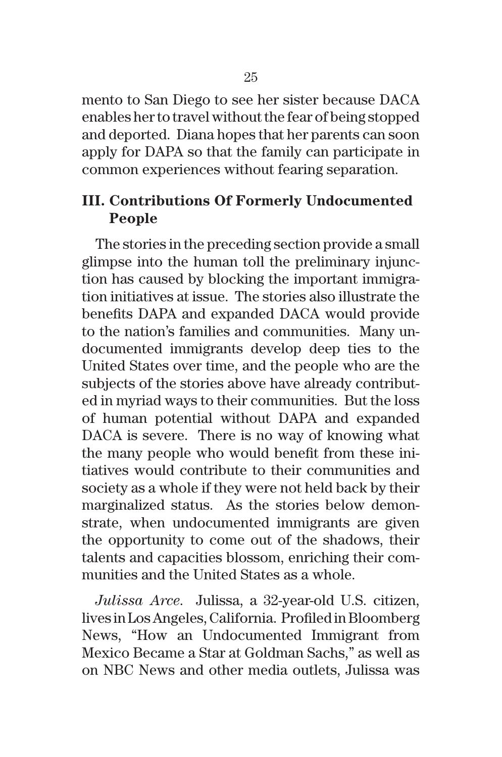mento to San Diego to see her sister because DACA enables her to travel without the fear of being stopped and deported. Diana hopes that her parents can soon apply for DAPA so that the family can participate in common experiences without fearing separation.

## **III. Contributions Of Formerly Undocumented People**

The stories in the preceding section provide a small glimpse into the human toll the preliminary injunction has caused by blocking the important immigration initiatives at issue. The stories also illustrate the benefits DAPA and expanded DACA would provide to the nation's families and communities. Many undocumented immigrants develop deep ties to the United States over time, and the people who are the subjects of the stories above have already contributed in myriad ways to their communities. But the loss of human potential without DAPA and expanded DACA is severe. There is no way of knowing what the many people who would benefit from these initiatives would contribute to their communities and society as a whole if they were not held back by their marginalized status. As the stories below demonstrate, when undocumented immigrants are given the opportunity to come out of the shadows, their talents and capacities blossom, enriching their communities and the United States as a whole.

*Julissa Arce*. Julissa, a 32-year-old U.S. citizen, lives in Los Angeles, California. Profiled in Bloomberg News, "How an Undocumented Immigrant from Mexico Became a Star at Goldman Sachs," as well as on NBC News and other media outlets, Julissa was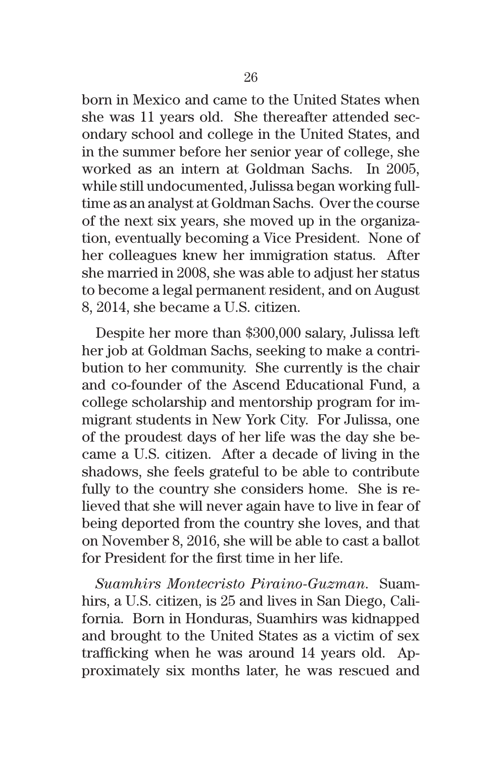born in Mexico and came to the United States when she was 11 years old. She thereafter attended secondary school and college in the United States, and in the summer before her senior year of college, she worked as an intern at Goldman Sachs. In 2005, while still undocumented, Julissa began working fulltime as an analyst at Goldman Sachs. Over the course of the next six years, she moved up in the organization, eventually becoming a Vice President. None of her colleagues knew her immigration status. After she married in 2008, she was able to adjust her status to become a legal permanent resident, and on August 8, 2014, she became a U.S. citizen.

Despite her more than \$300,000 salary, Julissa left her job at Goldman Sachs, seeking to make a contribution to her community. She currently is the chair and co-founder of the Ascend Educational Fund, a college scholarship and mentorship program for immigrant students in New York City. For Julissa, one of the proudest days of her life was the day she became a U.S. citizen. After a decade of living in the shadows, she feels grateful to be able to contribute fully to the country she considers home. She is relieved that she will never again have to live in fear of being deported from the country she loves, and that on November 8, 2016, she will be able to cast a ballot for President for the first time in her life.

*Suamhirs Montecristo Piraino-Guzman*. Suamhirs, a U.S. citizen, is 25 and lives in San Diego, California. Born in Honduras, Suamhirs was kidnapped and brought to the United States as a victim of sex trafficking when he was around 14 years old. Approximately six months later, he was rescued and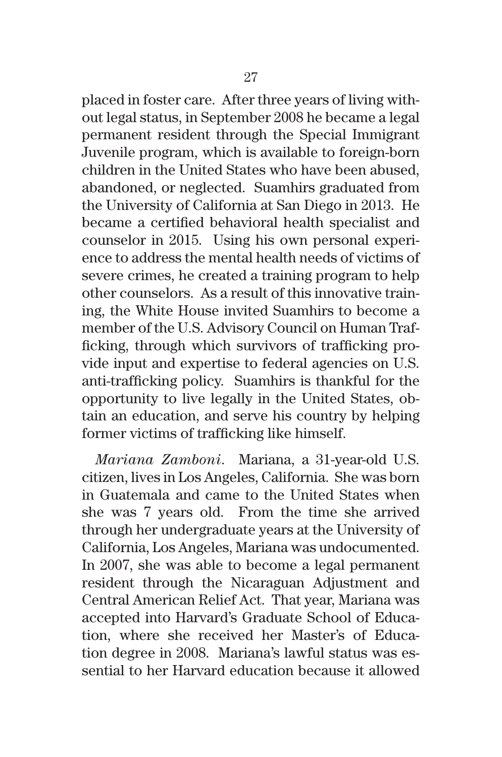placed in foster care. After three years of living without legal status, in September 2008 he became a legal permanent resident through the Special Immigrant Juvenile program, which is available to foreign-born children in the United States who have been abused, abandoned, or neglected. Suamhirs graduated from the University of California at San Diego in 2013. He became a certified behavioral health specialist and counselor in 2015. Using his own personal experience to address the mental health needs of victims of severe crimes, he created a training program to help other counselors. As a result of this innovative training, the White House invited Suamhirs to become a member of the U.S. Advisory Council on Human Trafficking, through which survivors of trafficking provide input and expertise to federal agencies on U.S. anti-trafficking policy. Suamhirs is thankful for the opportunity to live legally in the United States, obtain an education, and serve his country by helping former victims of trafficking like himself.

*Mariana Zamboni*. Mariana, a 31-year-old U.S. citizen, lives in Los Angeles, California. She was born in Guatemala and came to the United States when she was 7 years old. From the time she arrived through her undergraduate years at the University of California, Los Angeles, Mariana was undocumented. In 2007, she was able to become a legal permanent resident through the Nicaraguan Adjustment and Central American Relief Act. That year, Mariana was accepted into Harvard's Graduate School of Education, where she received her Master's of Education degree in 2008. Mariana's lawful status was essential to her Harvard education because it allowed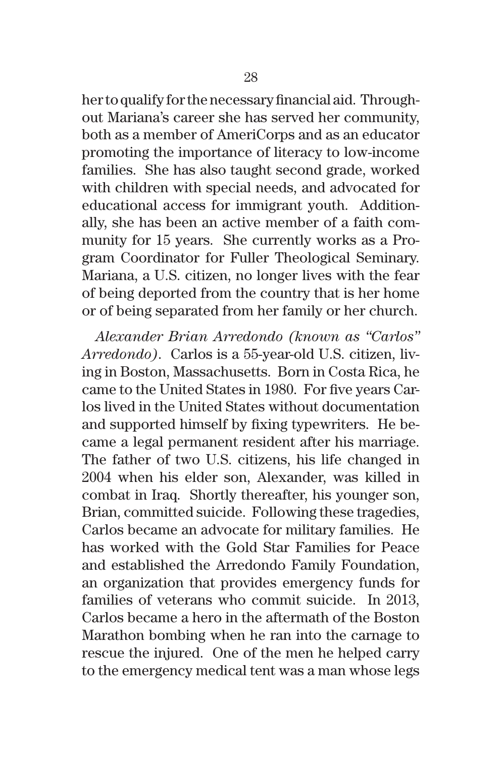her to qualify for the necessary financial aid. Throughout Mariana's career she has served her community, both as a member of AmeriCorps and as an educator promoting the importance of literacy to low-income families. She has also taught second grade, worked with children with special needs, and advocated for educational access for immigrant youth. Additionally, she has been an active member of a faith community for 15 years. She currently works as a Program Coordinator for Fuller Theological Seminary. Mariana, a U.S. citizen, no longer lives with the fear of being deported from the country that is her home or of being separated from her family or her church.

*Alexander Brian Arredondo (known as "Carlos" Arredondo)*. Carlos is a 55-year-old U.S. citizen, living in Boston, Massachusetts. Born in Costa Rica, he came to the United States in 1980. For five years Carlos lived in the United States without documentation and supported himself by fixing typewriters. He became a legal permanent resident after his marriage. The father of two U.S. citizens, his life changed in 2004 when his elder son, Alexander, was killed in combat in Iraq. Shortly thereafter, his younger son, Brian, committed suicide. Following these tragedies, Carlos became an advocate for military families. He has worked with the Gold Star Families for Peace and established the Arredondo Family Foundation, an organization that provides emergency funds for families of veterans who commit suicide. In 2013, Carlos became a hero in the aftermath of the Boston Marathon bombing when he ran into the carnage to rescue the injured. One of the men he helped carry to the emergency medical tent was a man whose legs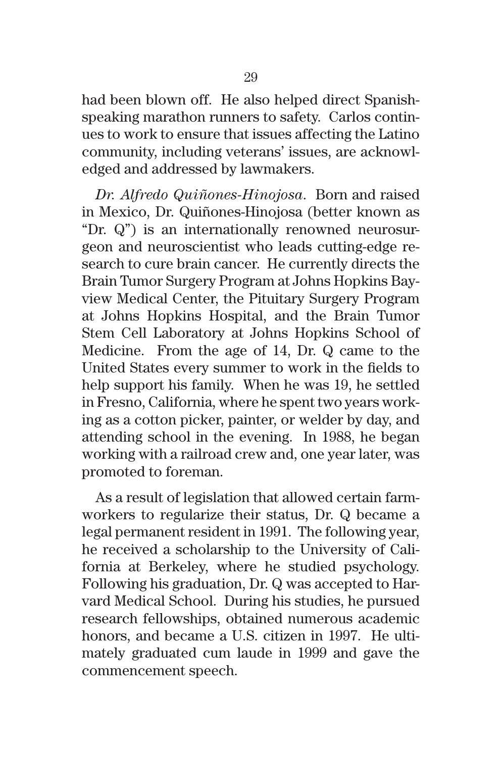had been blown off. He also helped direct Spanishspeaking marathon runners to safety. Carlos continues to work to ensure that issues affecting the Latino community, including veterans' issues, are acknowledged and addressed by lawmakers.

*Dr. Alfredo Quiñones-Hinojosa*. Born and raised in Mexico, Dr. Quiñones-Hinojosa (better known as "Dr. Q") is an internationally renowned neurosurgeon and neuroscientist who leads cutting-edge research to cure brain cancer. He currently directs the Brain Tumor Surgery Program at Johns Hopkins Bayview Medical Center, the Pituitary Surgery Program at Johns Hopkins Hospital, and the Brain Tumor Stem Cell Laboratory at Johns Hopkins School of Medicine. From the age of 14, Dr. Q came to the United States every summer to work in the fields to help support his family. When he was 19, he settled in Fresno, California, where he spent two years working as a cotton picker, painter, or welder by day, and attending school in the evening. In 1988, he began working with a railroad crew and, one year later, was promoted to foreman.

As a result of legislation that allowed certain farmworkers to regularize their status, Dr. Q became a legal permanent resident in 1991. The following year, he received a scholarship to the University of California at Berkeley, where he studied psychology. Following his graduation, Dr. Q was accepted to Harvard Medical School. During his studies, he pursued research fellowships, obtained numerous academic honors, and became a U.S. citizen in 1997. He ultimately graduated cum laude in 1999 and gave the commencement speech.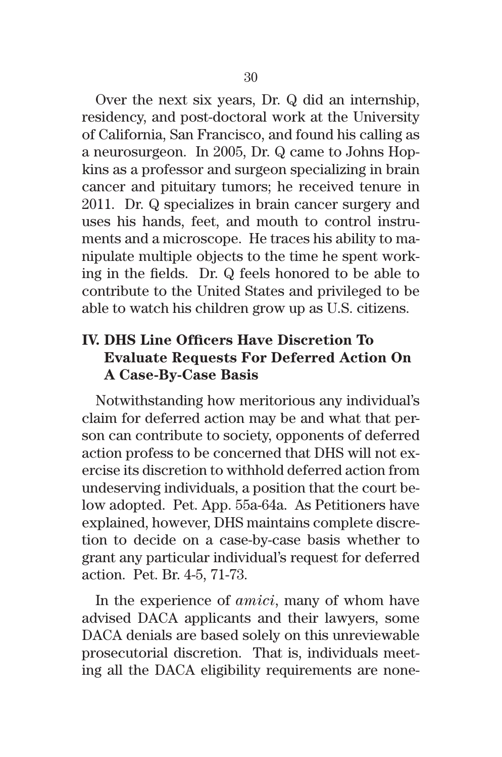Over the next six years, Dr. Q did an internship, residency, and post-doctoral work at the University of California, San Francisco, and found his calling as a neurosurgeon. In 2005, Dr. Q came to Johns Hopkins as a professor and surgeon specializing in brain cancer and pituitary tumors; he received tenure in 2011. Dr. Q specializes in brain cancer surgery and uses his hands, feet, and mouth to control instruments and a microscope. He traces his ability to manipulate multiple objects to the time he spent working in the fields. Dr. Q feels honored to be able to contribute to the United States and privileged to be able to watch his children grow up as U.S. citizens.

## **IV. DHS Line Officers Have Discretion To Evaluate Requests For Deferred Action On A Case-By-Case Basis**

Notwithstanding how meritorious any individual's claim for deferred action may be and what that person can contribute to society, opponents of deferred action profess to be concerned that DHS will not exercise its discretion to withhold deferred action from undeserving individuals, a position that the court below adopted. Pet. App. 55a-64a. As Petitioners have explained, however, DHS maintains complete discretion to decide on a case-by-case basis whether to grant any particular individual's request for deferred action. Pet. Br. 4-5, 71-73.

In the experience of *amici*, many of whom have advised DACA applicants and their lawyers, some DACA denials are based solely on this unreviewable prosecutorial discretion. That is, individuals meeting all the DACA eligibility requirements are none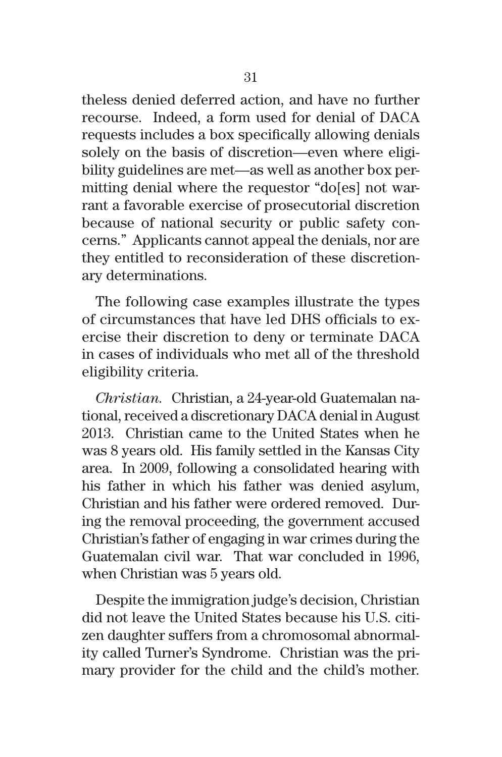theless denied deferred action, and have no further recourse. Indeed, a form used for denial of DACA requests includes a box specifically allowing denials solely on the basis of discretion—even where eligibility guidelines are met—as well as another box permitting denial where the requestor "do[es] not warrant a favorable exercise of prosecutorial discretion because of national security or public safety concerns." Applicants cannot appeal the denials, nor are they entitled to reconsideration of these discretionary determinations.

The following case examples illustrate the types of circumstances that have led DHS officials to exercise their discretion to deny or terminate DACA in cases of individuals who met all of the threshold eligibility criteria.

*Christian.*Christian, a 24-year-old Guatemalan national, received a discretionary DACA denial in August 2013. Christian came to the United States when he was 8 years old. His family settled in the Kansas City area. In 2009, following a consolidated hearing with his father in which his father was denied asylum, Christian and his father were ordered removed. During the removal proceeding, the government accused Christian's father of engaging in war crimes during the Guatemalan civil war. That war concluded in 1996, when Christian was 5 years old.

Despite the immigration judge's decision, Christian did not leave the United States because his U.S. citizen daughter suffers from a chromosomal abnormality called Turner's Syndrome. Christian was the primary provider for the child and the child's mother.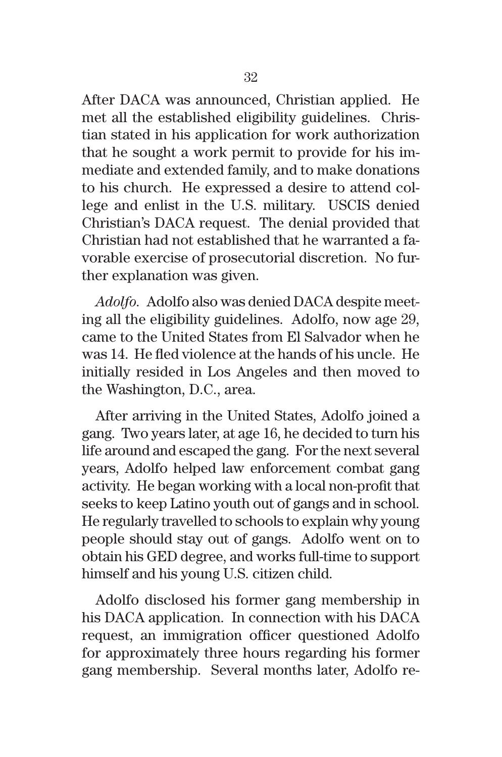After DACA was announced, Christian applied. He met all the established eligibility guidelines. Christian stated in his application for work authorization that he sought a work permit to provide for his immediate and extended family, and to make donations to his church. He expressed a desire to attend college and enlist in the U.S. military. USCIS denied Christian's DACA request. The denial provided that Christian had not established that he warranted a favorable exercise of prosecutorial discretion. No further explanation was given.

*Adolfo.*Adolfo also was denied DACA despite meeting all the eligibility guidelines. Adolfo, now age 29, came to the United States from El Salvador when he was 14. He fled violence at the hands of his uncle. He initially resided in Los Angeles and then moved to the Washington, D.C., area.

After arriving in the United States, Adolfo joined a gang. Two years later, at age 16, he decided to turn his life around and escaped the gang. For the next several years, Adolfo helped law enforcement combat gang activity. He began working with a local non-profit that seeks to keep Latino youth out of gangs and in school. He regularly travelled to schools to explain why young people should stay out of gangs. Adolfo went on to obtain his GED degree, and works full-time to support himself and his young U.S. citizen child.

Adolfo disclosed his former gang membership in his DACA application. In connection with his DACA request, an immigration officer questioned Adolfo for approximately three hours regarding his former gang membership. Several months later, Adolfo re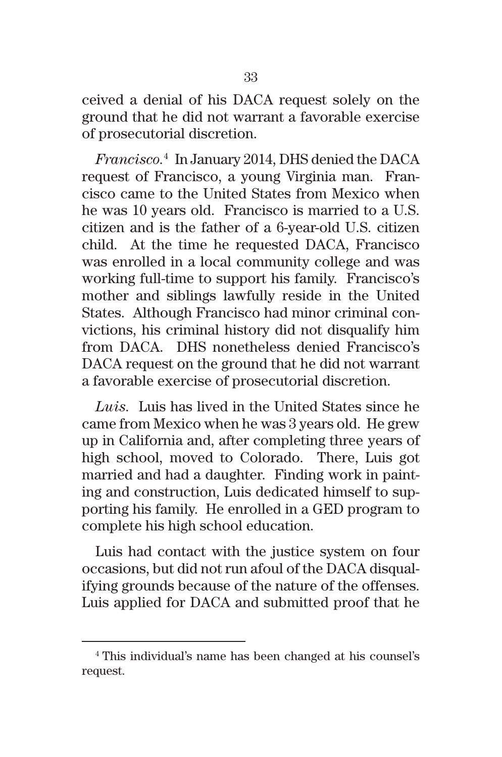ceived a denial of his DACA request solely on the ground that he did not warrant a favorable exercise of prosecutorial discretion.

*Francisco.*<sup>4</sup> In January 2014, DHS denied the DACA request of Francisco, a young Virginia man. Francisco came to the United States from Mexico when he was 10 years old. Francisco is married to a U.S. citizen and is the father of a 6-year-old U.S. citizen child. At the time he requested DACA, Francisco was enrolled in a local community college and was working full-time to support his family. Francisco's mother and siblings lawfully reside in the United States. Although Francisco had minor criminal convictions, his criminal history did not disqualify him from DACA. DHS nonetheless denied Francisco's DACA request on the ground that he did not warrant a favorable exercise of prosecutorial discretion.

*Luis.* Luis has lived in the United States since he came from Mexico when he was 3 years old. He grew up in California and, after completing three years of high school, moved to Colorado. There, Luis got married and had a daughter. Finding work in painting and construction, Luis dedicated himself to supporting his family. He enrolled in a GED program to complete his high school education.

Luis had contact with the justice system on four occasions, but did not run afoul of the DACA disqualifying grounds because of the nature of the offenses. Luis applied for DACA and submitted proof that he

<sup>4</sup> This individual's name has been changed at his counsel's request.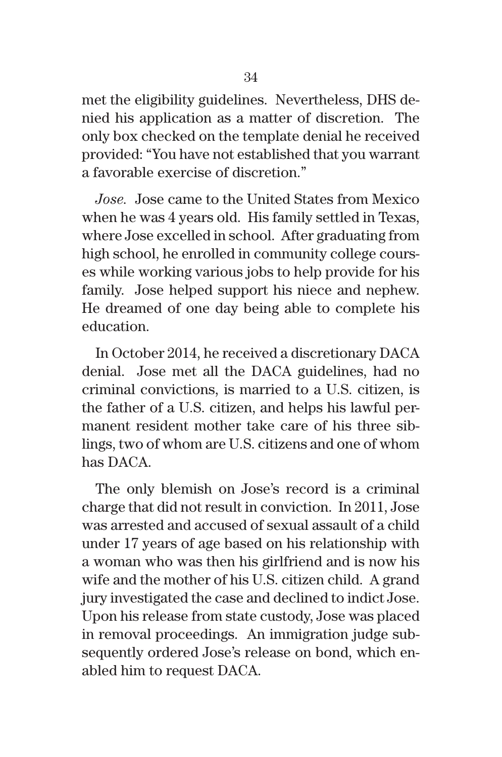met the eligibility guidelines. Nevertheless, DHS denied his application as a matter of discretion. The only box checked on the template denial he received provided: "You have not established that you warrant a favorable exercise of discretion."

*Jose.* Jose came to the United States from Mexico when he was 4 years old. His family settled in Texas, where Jose excelled in school. After graduating from high school, he enrolled in community college courses while working various jobs to help provide for his family. Jose helped support his niece and nephew. He dreamed of one day being able to complete his education.

In October 2014, he received a discretionary DACA denial. Jose met all the DACA guidelines, had no criminal convictions, is married to a U.S. citizen, is the father of a U.S. citizen, and helps his lawful permanent resident mother take care of his three siblings, two of whom are U.S. citizens and one of whom has DACA.

The only blemish on Jose's record is a criminal charge that did not result in conviction. In 2011, Jose was arrested and accused of sexual assault of a child under 17 years of age based on his relationship with a woman who was then his girlfriend and is now his wife and the mother of his U.S. citizen child. A grand jury investigated the case and declined to indict Jose. Upon his release from state custody, Jose was placed in removal proceedings. An immigration judge subsequently ordered Jose's release on bond, which enabled him to request DACA.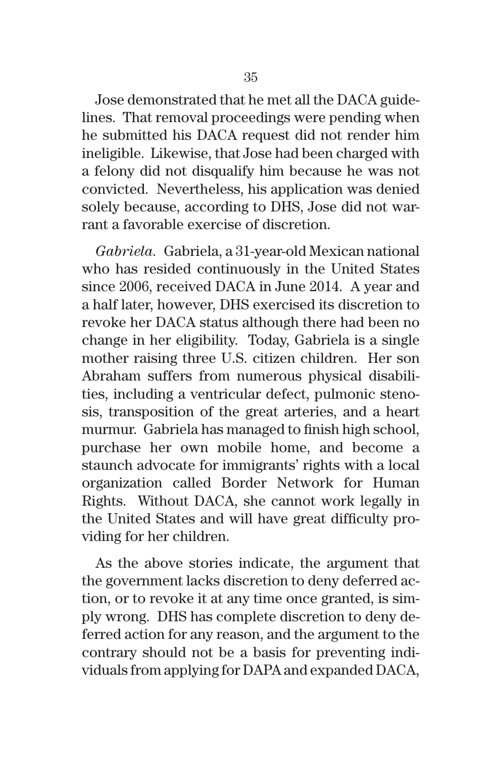Jose demonstrated that he met all the DACA guidelines. That removal proceedings were pending when he submitted his DACA request did not render him ineligible. Likewise, that Jose had been charged with a felony did not disqualify him because he was not convicted. Nevertheless, his application was denied solely because, according to DHS, Jose did not warrant a favorable exercise of discretion.

*Gabriela.*Gabriela, a 31-year-old Mexican national who has resided continuously in the United States since 2006, received DACA in June 2014. A year and a half later, however, DHS exercised its discretion to revoke her DACA status although there had been no change in her eligibility. Today, Gabriela is a single mother raising three U.S. citizen children. Her son Abraham suffers from numerous physical disabilities, including a ventricular defect, pulmonic stenosis, transposition of the great arteries, and a heart murmur. Gabriela has managed to finish high school, purchase her own mobile home, and become a staunch advocate for immigrants' rights with a local organization called Border Network for Human Rights. Without DACA, she cannot work legally in the United States and will have great difficulty providing for her children.

As the above stories indicate, the argument that the government lacks discretion to deny deferred action, or to revoke it at any time once granted, is simply wrong. DHS has complete discretion to deny deferred action for any reason, and the argument to the contrary should not be a basis for preventing individuals from applying for DAPA and expanded DACA,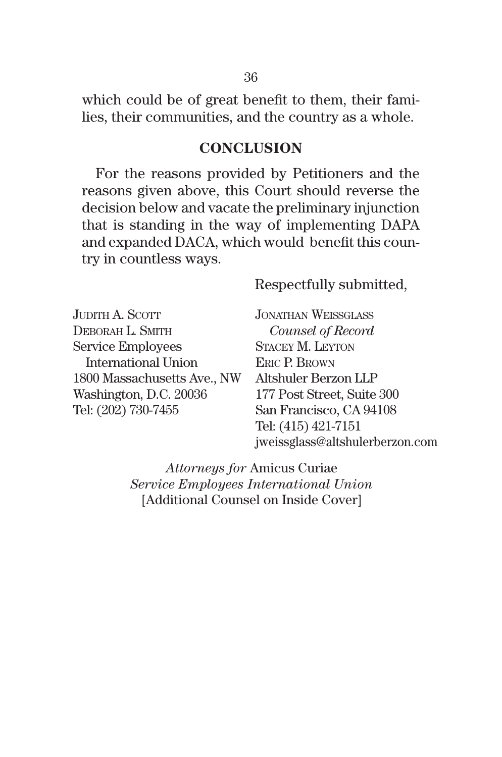which could be of great benefit to them, their families, their communities, and the country as a whole.

#### **CONCLUSION**

For the reasons provided by Petitioners and the reasons given above, this Court should reverse the decision below and vacate the preliminary injunction that is standing in the way of implementing DAPA and expanded DACA, which would benefit this country in countless ways.

Respectfully submitted,

JUDITH A. SCOTT DEBORAH L. SMITH Service Employees International Union 1800 Massachusetts Ave., NW Washington, D.C. 20036 Tel: (202) 730-7455

JonAthAn WeiSSgLASS  *Counsel of Record* StAcey m. Leyton **ERIC P. BROWN** Altshuler Berzon LLP 177 Post Street, Suite 300 San Francisco, CA 94108 Tel: (415) 421-7151 jweissglass@altshulerberzon.com

*Attorneys for* Amicus Curiae *Service Employees International Union* [Additional Counsel on Inside Cover]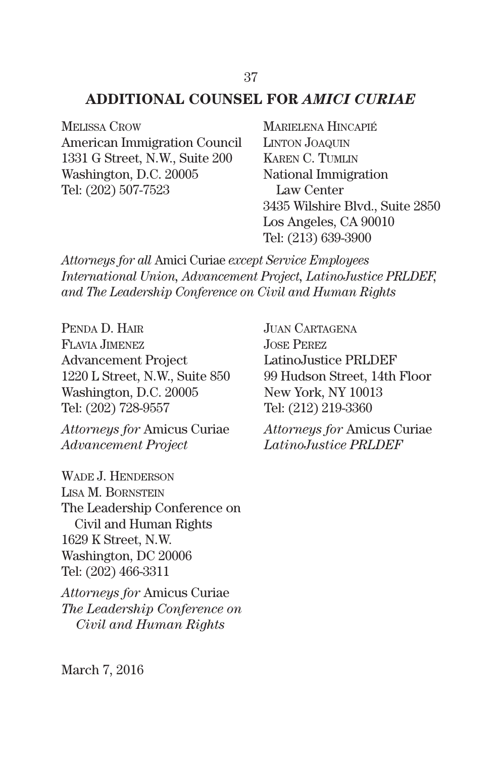#### **ADDITIONAL COUNSEL FOR** *AMICI CURIAE*

MELISSA CROW American Immigration Council 1331 G Street, N.W., Suite 200 Washington, D.C. 20005 Tel: (202) 507-7523

MARIELENA HINCAPIÉ LINTON JOAQUIN KAREN C. TUMLIN National Immigration Law Center 3435 Wilshire Blvd., Suite 2850 Los Angeles, CA 90010 Tel: (213) 639-3900

*Attorneys for all* Amici Curiae *except Service Employees International Union, Advancement Project, LatinoJustice PRLDEF, and The Leadership Conference on Civil and Human Rights*

PENDA D. HAIR FLAviA Jimenez Advancement Project 1220 L Street, N.W., Suite 850 Washington, D.C. 20005 Tel: (202) 728-9557

*Attorneys for* Amicus Curiae *Advancement Project*

WADE J. HENDERSON LISA M. BORNSTEIN The Leadership Conference on Civil and Human Rights 1629 K Street, N.W. Washington, DC 20006 Tel: (202) 466-3311

*Attorneys for* Amicus Curiae *The Leadership Conference on Civil and Human Rights*

JUAN CARTAGENA JoSe Perez LatinoJustice PRLDEF 99 Hudson Street, 14th Floor New York, NY 10013 Tel: (212) 219-3360

*Attorneys for* Amicus Curiae *LatinoJustice PRLDEF*

March 7, 2016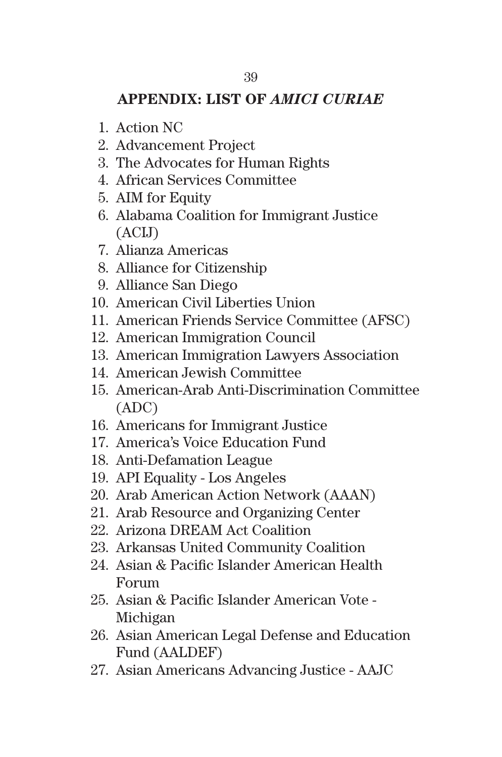### **APPENDIX: LIST OF** *AMICI CURIAE*

- 1. Action NC
- 2. Advancement Project
- 3. The Advocates for Human Rights
- 4. African Services Committee
- 5. AIM for Equity
- 6. Alabama Coalition for Immigrant Justice (ACIJ)
- 7. Alianza Americas
- 8. Alliance for Citizenship
- 9. Alliance San Diego
- 10. American Civil Liberties Union
- 11. American Friends Service Committee (AFSC)
- 12. American Immigration Council
- 13. American Immigration Lawyers Association
- 14. American Jewish Committee
- 15. American-Arab Anti-Discrimination Committee (ADC)
- 16. Americans for Immigrant Justice
- 17. America's Voice Education Fund
- 18. Anti-Defamation League
- 19. API Equality Los Angeles
- 20. Arab American Action Network (AAAN)
- 21. Arab Resource and Organizing Center
- 22. Arizona DREAM Act Coalition
- 23. Arkansas United Community Coalition
- 24. Asian & Pacific Islander American Health Forum
- 25. Asian & Pacific Islander American Vote Michigan
- 26. Asian American Legal Defense and Education Fund (AALDEF)
- 27. Asian Americans Advancing Justice AAJC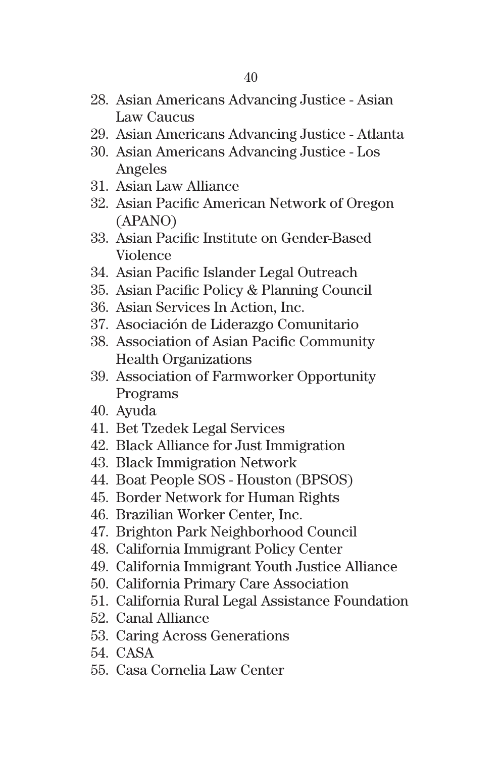- 28. Asian Americans Advancing Justice Asian Law Caucus
- 29. Asian Americans Advancing Justice Atlanta
- 30. Asian Americans Advancing Justice Los Angeles
- 31. Asian Law Alliance
- 32. Asian Pacific American Network of Oregon (APANO)
- 33. Asian Pacific Institute on Gender-Based Violence
- 34. Asian Pacific Islander Legal Outreach
- 35. Asian Pacific Policy & Planning Council
- 36. Asian Services In Action, Inc.
- 37. Asociación de Liderazgo Comunitario
- 38. Association of Asian Pacific Community Health Organizations
- 39. Association of Farmworker Opportunity Programs
- 40. Ayuda
- 41. Bet Tzedek Legal Services
- 42. Black Alliance for Just Immigration
- 43. Black Immigration Network
- 44. Boat People SOS Houston (BPSOS)
- 45. Border Network for Human Rights
- 46. Brazilian Worker Center, Inc.
- 47. Brighton Park Neighborhood Council
- 48. California Immigrant Policy Center
- 49. California Immigrant Youth Justice Alliance
- 50. California Primary Care Association
- 51. California Rural Legal Assistance Foundation
- 52. Canal Alliance
- 53. Caring Across Generations
- 54. CASA
- 55. Casa Cornelia Law Center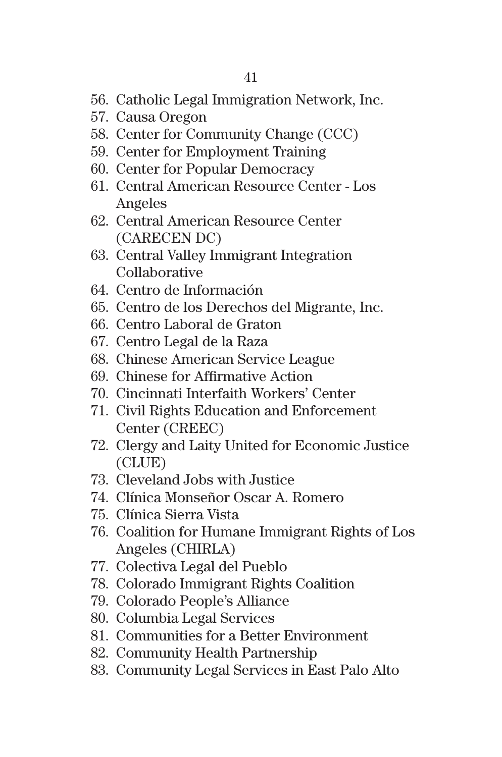- 56. Catholic Legal Immigration Network, Inc.
- 57. Causa Oregon
- 58. Center for Community Change (CCC)
- 59. Center for Employment Training
- 60. Center for Popular Democracy
- 61. Central American Resource Center Los Angeles
- 62. Central American Resource Center (CARECEN DC)
- 63. Central Valley Immigrant Integration Collaborative
- 64. Centro de Información
- 65. Centro de los Derechos del Migrante, Inc.
- 66. Centro Laboral de Graton
- 67. Centro Legal de la Raza
- 68. Chinese American Service League
- 69. Chinese for Affirmative Action
- 70. Cincinnati Interfaith Workers' Center
- 71. Civil Rights Education and Enforcement Center (CREEC)
- 72. Clergy and Laity United for Economic Justice (CLUE)
- 73. Cleveland Jobs with Justice
- 74. Clínica Monseñor Oscar A. Romero
- 75. Clínica Sierra Vista
- 76. Coalition for Humane Immigrant Rights of Los Angeles (CHIRLA)
- 77. Colectiva Legal del Pueblo
- 78. Colorado Immigrant Rights Coalition
- 79. Colorado People's Alliance
- 80. Columbia Legal Services
- 81. Communities for a Better Environment
- 82. Community Health Partnership
- 83. Community Legal Services in East Palo Alto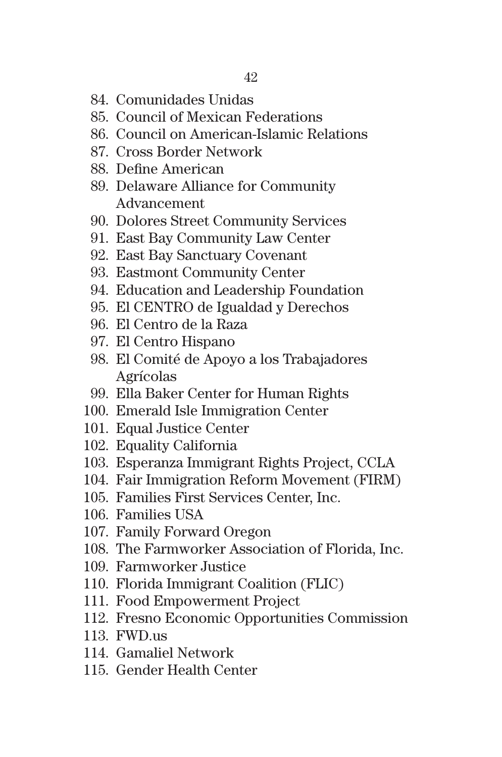- 84. Comunidades Unidas
- 85. Council of Mexican Federations
- 86. Council on American-Islamic Relations
- 87. Cross Border Network
- 88. Define American
- 89. Delaware Alliance for Community Advancement
- 90. Dolores Street Community Services
- 91. East Bay Community Law Center
- 92. East Bay Sanctuary Covenant
- 93. Eastmont Community Center
- 94. Education and Leadership Foundation
- 95. El CENTRO de Igualdad y Derechos
- 96. El Centro de la Raza
- 97. El Centro Hispano
- 98. El Comité de Apoyo a los Trabajadores Agrícolas
- 99. Ella Baker Center for Human Rights
- 100. Emerald Isle Immigration Center
- 101. Equal Justice Center
- 102. Equality California
- 103. Esperanza Immigrant Rights Project, CCLA
- 104. Fair Immigration Reform Movement (FIRM)
- 105. Families First Services Center, Inc.
- 106. Families USA
- 107. Family Forward Oregon
- 108. The Farmworker Association of Florida, Inc.
- 109. Farmworker Justice
- 110. Florida Immigrant Coalition (FLIC)
- 111. Food Empowerment Project
- 112. Fresno Economic Opportunities Commission
- 113. FWD.us
- 114. Gamaliel Network
- 115. Gender Health Center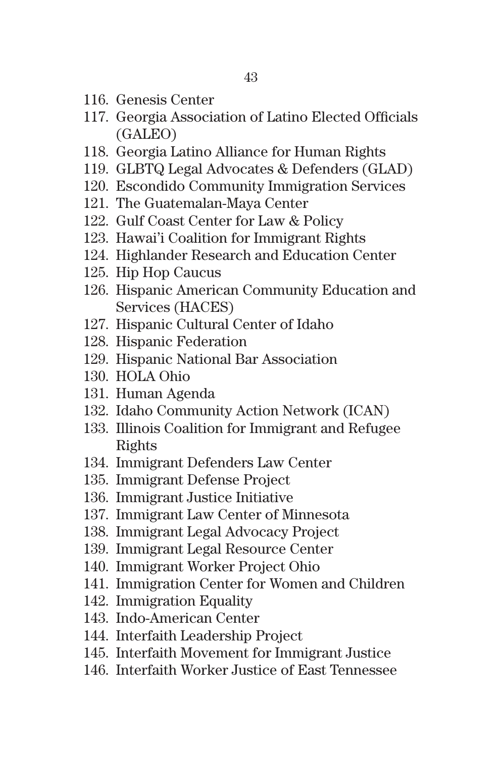- 116. Genesis Center
- 117. Georgia Association of Latino Elected Officials (GALEO)
- 118. Georgia Latino Alliance for Human Rights
- 119. GLBTQ Legal Advocates & Defenders (GLAD)
- 120. Escondido Community Immigration Services
- 121. The Guatemalan-Maya Center
- 122. Gulf Coast Center for Law & Policy
- 123. Hawai'i Coalition for Immigrant Rights
- 124. Highlander Research and Education Center
- 125. Hip Hop Caucus
- 126. Hispanic American Community Education and Services (HACES)
- 127. Hispanic Cultural Center of Idaho
- 128. Hispanic Federation
- 129. Hispanic National Bar Association
- 130. HOLA Ohio
- 131. Human Agenda
- 132. Idaho Community Action Network (ICAN)
- 133. Illinois Coalition for Immigrant and Refugee Rights
- 134. Immigrant Defenders Law Center
- 135. Immigrant Defense Project
- 136. Immigrant Justice Initiative
- 137. Immigrant Law Center of Minnesota
- 138. Immigrant Legal Advocacy Project
- 139. Immigrant Legal Resource Center
- 140. Immigrant Worker Project Ohio
- 141. Immigration Center for Women and Children
- 142. Immigration Equality
- 143. Indo-American Center
- 144. Interfaith Leadership Project
- 145. Interfaith Movement for Immigrant Justice
- 146. Interfaith Worker Justice of East Tennessee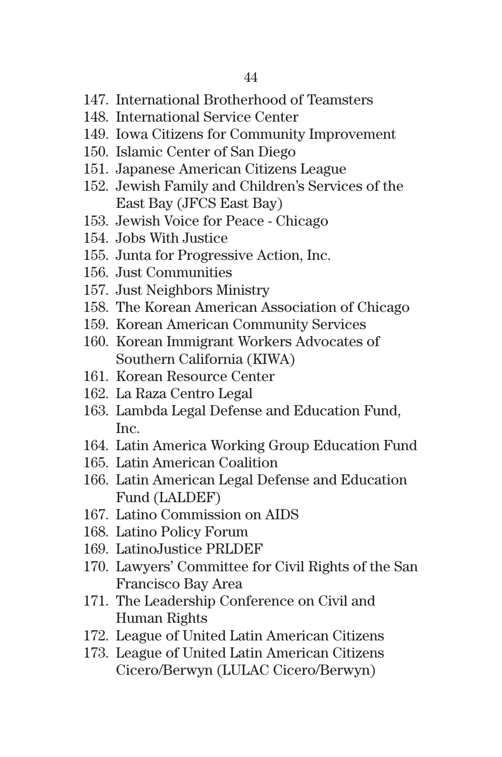- 147. International Brotherhood of Teamsters
- 148. International Service Center
- 149. Iowa Citizens for Community Improvement
- 150. Islamic Center of San Diego
- 151. Japanese American Citizens League
- 152. Jewish Family and Children's Services of the East Bay (JFCS East Bay)
- 153. Jewish Voice for Peace Chicago
- 154. Jobs With Justice
- 155. Junta for Progressive Action, Inc.
- 156. Just Communities
- 157. Just Neighbors Ministry
- 158. The Korean American Association of Chicago
- 159. Korean American Community Services
- 160. Korean Immigrant Workers Advocates of Southern California (KIWA)
- 161. Korean Resource Center
- 162. La Raza Centro Legal
- 163. Lambda Legal Defense and Education Fund, Inc.
- 164. Latin America Working Group Education Fund
- 165. Latin American Coalition
- 166. Latin American Legal Defense and Education Fund (LALDEF)
- 167. Latino Commission on AIDS
- 168. Latino Policy Forum
- 169. LatinoJustice PRLDEF
- 170. Lawyers' Committee for Civil Rights of the San Francisco Bay Area
- 171. The Leadership Conference on Civil and Human Rights
- 172. League of United Latin American Citizens
- 173. League of United Latin American Citizens Cicero/Berwyn (LULAC Cicero/Berwyn)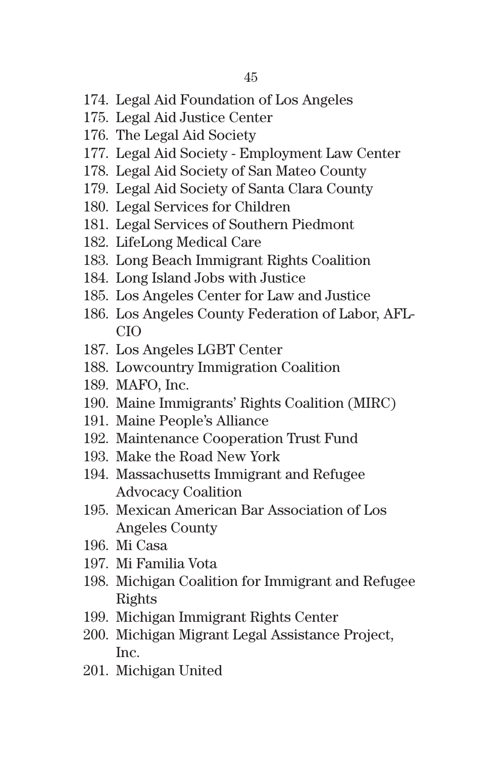- 174. Legal Aid Foundation of Los Angeles
- 175. Legal Aid Justice Center
- 176. The Legal Aid Society
- 177. Legal Aid Society Employment Law Center
- 178. Legal Aid Society of San Mateo County
- 179. Legal Aid Society of Santa Clara County
- 180. Legal Services for Children
- 181. Legal Services of Southern Piedmont
- 182. LifeLong Medical Care
- 183. Long Beach Immigrant Rights Coalition
- 184. Long Island Jobs with Justice
- 185. Los Angeles Center for Law and Justice
- 186. Los Angeles County Federation of Labor, AFL-CIO
- 187. Los Angeles LGBT Center
- 188. Lowcountry Immigration Coalition
- 189. MAFO, Inc.
- 190. Maine Immigrants' Rights Coalition (MIRC)
- 191. Maine People's Alliance
- 192. Maintenance Cooperation Trust Fund
- 193. Make the Road New York
- 194. Massachusetts Immigrant and Refugee Advocacy Coalition
- 195. Mexican American Bar Association of Los Angeles County
- 196. Mi Casa
- 197. Mi Familia Vota
- 198. Michigan Coalition for Immigrant and Refugee Rights
- 199. Michigan Immigrant Rights Center
- 200. Michigan Migrant Legal Assistance Project, Inc.
- 201. Michigan United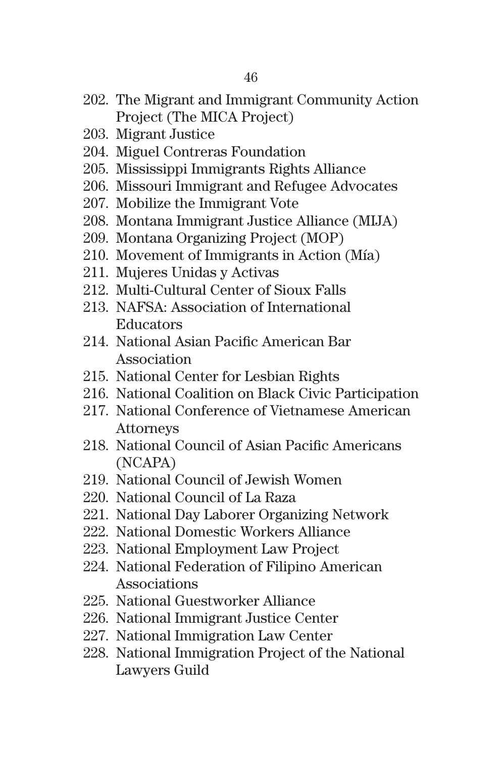- 202. The Migrant and Immigrant Community Action Project (The MICA Project)
- 203. Migrant Justice
- 204. Miguel Contreras Foundation
- 205. Mississippi Immigrants Rights Alliance
- 206. Missouri Immigrant and Refugee Advocates
- 207. Mobilize the Immigrant Vote
- 208. Montana Immigrant Justice Alliance (MIJA)
- 209. Montana Organizing Project (MOP)
- 210. Movement of Immigrants in Action (Mía)
- 211. Mujeres Unidas y Activas
- 212. Multi-Cultural Center of Sioux Falls
- 213. NAFSA: Association of International Educators
- 214. National Asian Pacific American Bar Association
- 215. National Center for Lesbian Rights
- 216. National Coalition on Black Civic Participation
- 217. National Conference of Vietnamese American Attorneys
- 218. National Council of Asian Pacific Americans (NCAPA)
- 219. National Council of Jewish Women
- 220. National Council of La Raza
- 221. National Day Laborer Organizing Network
- 222. National Domestic Workers Alliance
- 223. National Employment Law Project
- 224. National Federation of Filipino American Associations
- 225. National Guestworker Alliance
- 226. National Immigrant Justice Center
- 227. National Immigration Law Center
- 228. National Immigration Project of the National Lawyers Guild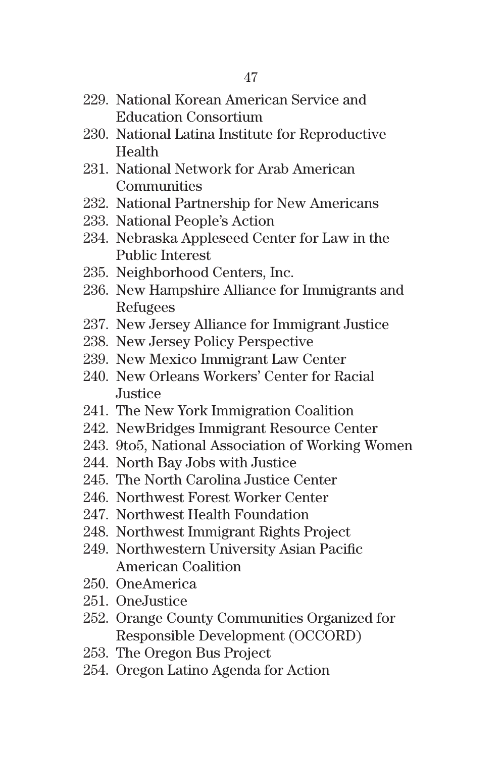- 229. National Korean American Service and Education Consortium
- 230. National Latina Institute for Reproductive Health
- 231. National Network for Arab American **Communities**
- 232. National Partnership for New Americans
- 233. National People's Action
- 234. Nebraska Appleseed Center for Law in the Public Interest
- 235. Neighborhood Centers, Inc.
- 236. New Hampshire Alliance for Immigrants and Refugees
- 237. New Jersey Alliance for Immigrant Justice
- 238. New Jersey Policy Perspective
- 239. New Mexico Immigrant Law Center
- 240. New Orleans Workers' Center for Racial Justice
- 241. The New York Immigration Coalition
- 242. NewBridges Immigrant Resource Center
- 243. 9to5, National Association of Working Women
- 244. North Bay Jobs with Justice
- 245. The North Carolina Justice Center
- 246. Northwest Forest Worker Center
- 247. Northwest Health Foundation
- 248. Northwest Immigrant Rights Project
- 249. Northwestern University Asian Pacific American Coalition
- 250. OneAmerica
- 251. OneJustice
- 252. Orange County Communities Organized for Responsible Development (OCCORD)
- 253. The Oregon Bus Project
- 254. Oregon Latino Agenda for Action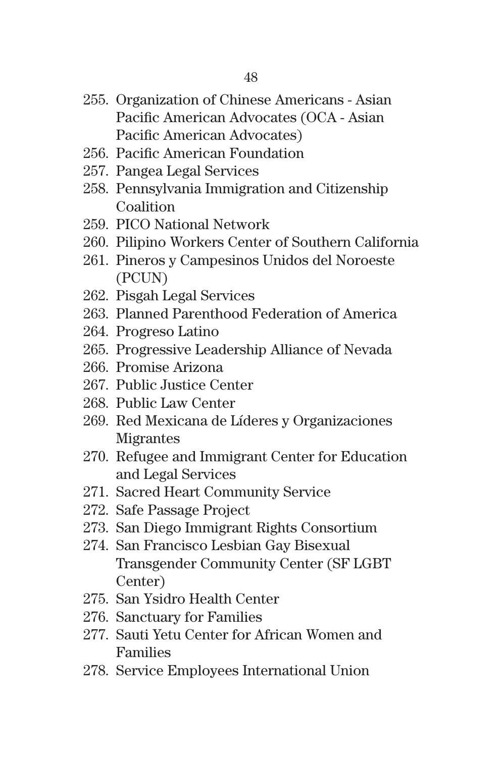- 255. Organization of Chinese Americans Asian Pacific American Advocates (OCA - Asian Pacific American Advocates)
- 256. Pacific American Foundation
- 257. Pangea Legal Services
- 258. Pennsylvania Immigration and Citizenship Coalition
- 259. PICO National Network
- 260. Pilipino Workers Center of Southern California
- 261. Pineros y Campesinos Unidos del Noroeste (PCUN)
- 262. Pisgah Legal Services
- 263. Planned Parenthood Federation of America
- 264. Progreso Latino
- 265. Progressive Leadership Alliance of Nevada
- 266. Promise Arizona
- 267. Public Justice Center
- 268. Public Law Center
- 269. Red Mexicana de Líderes y Organizaciones Migrantes
- 270. Refugee and Immigrant Center for Education and Legal Services
- 271. Sacred Heart Community Service
- 272. Safe Passage Project
- 273. San Diego Immigrant Rights Consortium
- 274. San Francisco Lesbian Gay Bisexual Transgender Community Center (SF LGBT Center)
- 275. San Ysidro Health Center
- 276. Sanctuary for Families
- 277. Sauti Yetu Center for African Women and Families
- 278. Service Employees International Union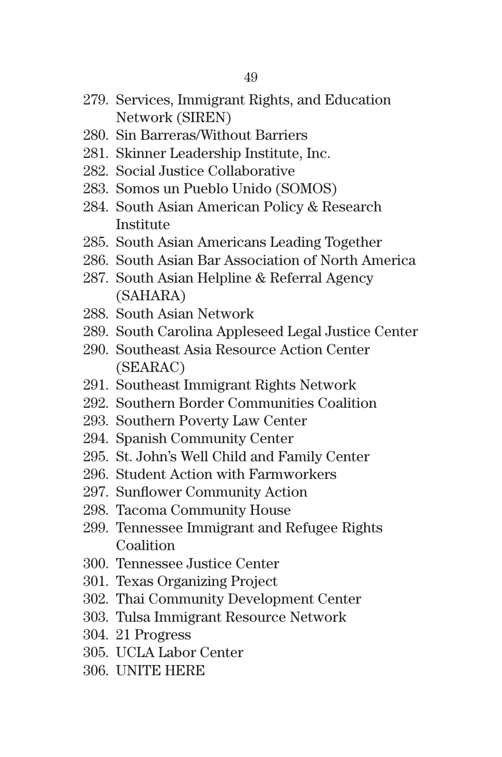- 279. Services, Immigrant Rights, and Education Network (SIREN)
- 280. Sin Barreras/Without Barriers
- 281. Skinner Leadership Institute, Inc.
- 282. Social Justice Collaborative
- 283. Somos un Pueblo Unido (SOMOS)
- 284. South Asian American Policy & Research Institute
- 285. South Asian Americans Leading Together
- 286. South Asian Bar Association of North America
- 287. South Asian Helpline & Referral Agency (SAHARA)
- 288. South Asian Network
- 289. South Carolina Appleseed Legal Justice Center
- 290. Southeast Asia Resource Action Center (SEARAC)
- 291. Southeast Immigrant Rights Network
- 292. Southern Border Communities Coalition
- 293. Southern Poverty Law Center
- 294. Spanish Community Center
- 295. St. John's Well Child and Family Center
- 296. Student Action with Farmworkers
- 297. Sunflower Community Action
- 298. Tacoma Community House
- 299. Tennessee Immigrant and Refugee Rights **Coalition**
- 300. Tennessee Justice Center
- 301. Texas Organizing Project
- 302. Thai Community Development Center
- 303. Tulsa Immigrant Resource Network
- 304. 21 Progress
- 305. UCLA Labor Center
- 306. UNITE HERE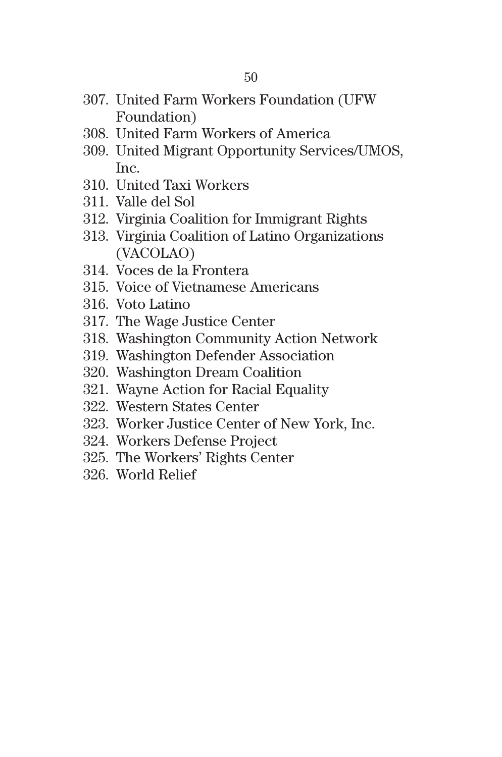- 307. United Farm Workers Foundation (UFW Foundation)
- 308. United Farm Workers of America
- 309. United Migrant Opportunity Services/UMOS, Inc.
- 310. United Taxi Workers
- 311. Valle del Sol
- 312. Virginia Coalition for Immigrant Rights
- 313. Virginia Coalition of Latino Organizations (VACOLAO)
- 314. Voces de la Frontera
- 315. Voice of Vietnamese Americans
- 316. Voto Latino
- 317. The Wage Justice Center
- 318. Washington Community Action Network
- 319. Washington Defender Association
- 320. Washington Dream Coalition
- 321. Wayne Action for Racial Equality
- 322. Western States Center
- 323. Worker Justice Center of New York, Inc.
- 324. Workers Defense Project
- 325. The Workers' Rights Center
- 326. World Relief